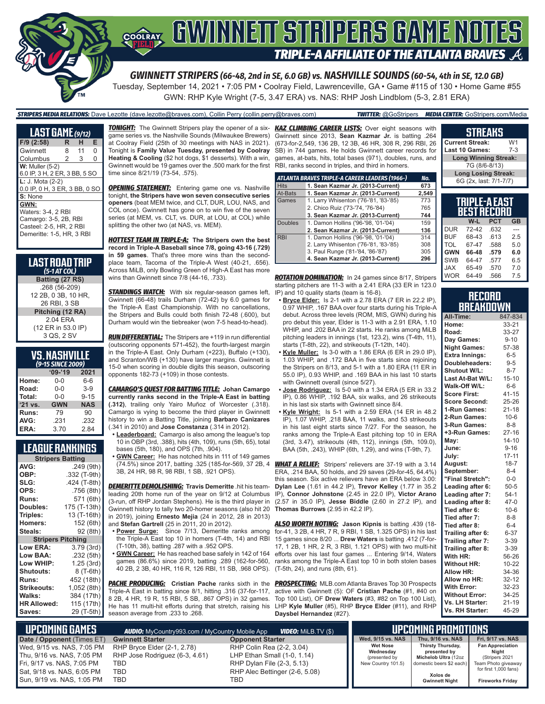

*GWINNETT STRIPERS (66-48, 2nd in SE, 6.0 GB) vs. NASHVILLE SOUNDS (60-54, 4th in SE, 12.0 GB)*

Tuesday, September 14, 2021 • 7:05 PM • Coolray Field, Lawrenceville, GA • Game #115 of 130 • Home Game #55 GWN: RHP Kyle Wright (7-5, 3.47 ERA) vs. NAS: RHP Josh Lindblom (5-3, 2.81 ERA)

#### *STRIPERS MEDIA RELATIONS:* Dave Lezotte (dave.lezotte@braves.com), Collin Perry (collin.perry@braves.com) *TWITTER:* @GoStripers *MEDIA CENTER:* GoStripers.com/Media

| R                   | н  | Е                                                                                                                                                                          |
|---------------------|----|----------------------------------------------------------------------------------------------------------------------------------------------------------------------------|
| 8                   | 11 | 0                                                                                                                                                                          |
| 2                   | 3  | 0                                                                                                                                                                          |
| $W:$ Muller $(5-2)$ |    |                                                                                                                                                                            |
|                     |    |                                                                                                                                                                            |
| L: J. Mota (2-2)    |    |                                                                                                                                                                            |
|                     |    |                                                                                                                                                                            |
|                     |    |                                                                                                                                                                            |
|                     |    |                                                                                                                                                                            |
| Waters: 3-4, 2 RBI  |    |                                                                                                                                                                            |
|                     |    |                                                                                                                                                                            |
|                     |    |                                                                                                                                                                            |
|                     |    |                                                                                                                                                                            |
|                     |    | <b>LAST GAME</b> (9/12)<br>6.0 IP, 3 H, 2 ER, 3 BB, 5 SO<br>0.0 IP, 0 H, 3 ER, 3 BB, 0 SO<br>Camargo: 3-5, 2B, RBI<br>Casteel: 2-5. HR. 2 RBI<br>Demeritte: 1-5, HR, 3 RBI |

| LAST ROAD TRIP<br>$(5-1 AT COL)$ |
|----------------------------------|
| Batting (27 RS)                  |
| .268 (56-209)                    |
| 12 2B, 0 3B, 10 HR,              |
| 26 RBI, 3 SB                     |
| Pitching (12 RA)                 |
| 2.04 ERA                         |
| (12 ER in 53.0 IP)               |
| 3 QS, 2 SV                       |

| <b>VS. NASHVILLE</b> |
|----------------------|
| (9-15 SINCE 2009)    |

| ╭<br>' IJ JINCL ZUUSI |            |            |  |  |  |
|-----------------------|------------|------------|--|--|--|
|                       | $09 - 19$  | 2021       |  |  |  |
| Home:                 | 0-0        | $6-6$      |  |  |  |
| Road:                 | $0 - 0$    | $3-9$      |  |  |  |
| Total:                | $0 - 0$    | $9 - 15$   |  |  |  |
| '21 vs.               | <b>GWN</b> | <b>NAS</b> |  |  |  |
| Runs:                 | 79         | 90         |  |  |  |
| AVG:                  | .231       | .232       |  |  |  |
| ERA:                  | 3.70       | 2.84       |  |  |  |

#### **LEAGUE RANKINGS**

| <b>Stripers Batting</b>  |              |  |  |  |
|--------------------------|--------------|--|--|--|
| AVG:                     | .249 (9th)   |  |  |  |
| OBP:                     | .332 (T-9th) |  |  |  |
| SLG:                     | .424 (T-8th) |  |  |  |
| OPS:                     | .756 (8th)   |  |  |  |
| <b>Runs:</b>             | 571 (6th)    |  |  |  |
| Doubles:                 | 175 (T-13th) |  |  |  |
| Triples:                 | 13 (T-16th)  |  |  |  |
| <b>Homers:</b>           | 152 (6th)    |  |  |  |
| Steals:                  | 92 (8th)     |  |  |  |
| <b>Stripers Pitching</b> |              |  |  |  |
| <b>Low ERA:</b>          | 3.79 (3rd)   |  |  |  |
| Low BAA:                 | .232 (5th)   |  |  |  |
| Low WHIP:                | 1.25 (3rd)   |  |  |  |
| <b>Shutouts:</b>         | 8 (T-6th)    |  |  |  |
| <b>Runs:</b>             | 452 (18th)   |  |  |  |
| Strikeouts:              | 1,052 (8th)  |  |  |  |
| Walks:                   | 384 (17th)   |  |  |  |
| <b>HR Allowed:</b>       | 115 (17th)   |  |  |  |
| Saves:                   | 29 (T-5th)   |  |  |  |
|                          |              |  |  |  |

*TONIGHT:* The Gwinnett Stripers play the opener of a six-*KAZ CLIMBING CAREER LISTS:* Over eight seasons with game series vs. the Nashville Sounds (Milwaukee Brewers) at Coolray Field (25th of 30 meetings with NAS in 2021). Tonight is **Family Value Tuesday, presented by Coolray Heating & Cooling** (\$2 hot dogs, \$1 desserts). With a win, Gwinnett would be 19 games over the .500 mark for the first time since 8/21/19 (73-54, .575).

**OPENING STATEMENT:** Entering game one vs. Nashville tonight, **the Stripers have won seven consecutive series openers** (beat MEM twice, and CLT, DUR, LOU, NAS, and COL once). Gwinnett has gone on to win five of the seven series (at MEM, vs. CLT, vs. DUR, at LOU, at COL) while splitting the other two (at NAS, vs. MEM).

*HOTTEST TEAM IN TRIPLE-A:* **The Stripers own the best record in Triple-A Baseball since 7/8, going 43-16 (.729) in 59 games**. That's three more wins than the secondplace team, Tacoma of the Triple-A West (40-21, .656). Across MiLB, only Bowling Green of High-A East has more wins than Gwinnett since 7/8 (44-16, .733).

*STANDINGS WATCH:* With six regular-season games left, Gwinnett (66-48) trails Durham (72-42) by 6.0 games for the Triple-A East Championship. With no cancellations, the Stripers and Bulls could both finish 72-48 (.600), but Durham would win the tiebreaker (won 7-5 head-to-head).

*RUN DIFFERENTIAL:* The Stripers are +119 in run differential (outscoring opponents 571-452), the fourth-largest margin in the Triple-A East. Only Durham (+223), Buffalo (+130), and Scranton/WB (+130) have larger margins. Gwinnett is 15-0 when scoring in double digits this season, outscoring opponents 182-73 (+109) in those contests.

*CAMARGO'S QUEST FOR BATTING TITLE:* **Johan Camargo currently ranks second in the Triple-A East in batting (.312)**, trailing only Yairo Muñoz of Worcester (.318). Camargo is vying to become the third player in Gwinnett history to win a Batting Title, joining **Barbaro Canizares** (.341 in 2010) and **Jose Constanza** (.314 in 2012).

- **• Leaderboard:** Camargo is also among the league's top 10 in OBP (3rd, .388), hits (4th, 109), runs (5th, 65), total bases (5th, 180), and OPS (7th, .904).
- **• GWN Career:** He has notched hits in 111 of 149 games 3B, 24 HR, 98 R, 98 RBI, 1 SB, .921 OPS).

*DEMERITTE DEMOLISHING:* **Travis Demeritte** .hit his teamleading 20th home run of the year on 9/12 at Columbus (3-run, off RHP Jordan Stephens). He is the third player in Gwinnett history to tally two 20-homer seasons (also hit 20 **Thomas Burrows** (2.95 in 42.2 IP). in 2019), joining **Ernesto Mejia** (24 in 2012, 28 in 2013) and **Stefan Gartrell** (25 in 2011, 20 in 2012).

- **• Power Surge:** Since 7/13, Demeritte ranks among the Triple-A East top 10 in homers (T-4th, 14) and RBI (T-10th, 38), batting .287 with a .952 OPS.
- **• GWN Career:** He has reached base safely in 142 of 164 40 2B, 2 3B, 40 HR, 116 R, 126 RBI, 11 SB, .968 OPS).

**PACHE PRODUCING:** Cristian Pache ranks sixth in the Triple-A East in batting since 8/1, hitting .316 (37-for-117, 8 2B, 4 HR, 19 R, 15 RBI, 5 SB, .867 OPS) in 32 games. He has 11 multi-hit efforts during that stretch, raising his season average from .233 to .268.

Gwinnett since 2013, **Sean Kazmar Jr.** is batting .264 (673-for-2,549, 136 2B, 12 3B, 46 HR, 308 R, 296 RBI, 26 SB) in 744 games. He holds Gwinnett career records for games, at-bats, hits, total bases (971), doubles, runs, and RBI, ranks second in triples, and third in homers.

|                | ATLANTA BRAVES TRIPLE-A CAREER LEADERS (1966-) | No.   |
|----------------|------------------------------------------------|-------|
| <b>Hits</b>    | 1. Sean Kazmar Jr. (2013-Current)              | 673   |
| At-Bats        | 1. Sean Kazmar Jr. (2013-Current)              | 2.549 |
| Games          | 1. Larry Whisenton ('76-'81, '83-'85)          | 773   |
|                | 2. Chico Ruiz ('73-'74, '76-'84)               | 765   |
|                | 3. Sean Kazmar Jr. (2013-Current)              | 744   |
| <b>Doubles</b> | 1. Damon Hollins ('96-'98, '01-'04)            | 159   |
|                | 2. Sean Kazmar Jr. (2013-Current)              | 136   |
| <b>RBI</b>     | 1. Damon Hollins ('96-'98, '01-'04)            | 314   |
|                | 2. Larry Whisenton ('76-'81, '83-'85)          | 308   |
|                | 3. Paul Runge ('81-'84, '86-'87)               | 305   |
|                | 4. Sean Kazmar Jr. (2013-Current)              | 296   |

*ROTATION DOMINATION:* In 24 games since 8/17, Stripers starting pitchers are 11-3 with a 2.41 ERA (33 ER in 123.0 IP) and 10 quality starts (team is 16-8).

- **• Bryce Elder:** Is 2-1 with a 2.78 ERA (7 ER in 22.2 IP), 0.97 WHIP, .167 BAA over four starts during his Triple-A debut. Across three levels (ROM, MIS, GWN) during his pro debut this year, Elder is 11-3 with a 2.91 ERA, 1.10 WHIP, and .202 BAA in 22 starts. He ranks among MiLB pitching leaders in innings (1st, 123.2), wins (T-4th, 11), starts (T-8th, 22), and strikeouts (T-12th, 140).
- **• Kyle Muller:** Is 3-0 with a 1.86 ERA (6 ER in 29.0 IP), 1.03 WHIP, and .172 BAA in five starts since rejoining the Stripers on 8/13, and 5-1 with a 1.80 ERA (11 ER in 55.0 IP), 0.93 WHIP, and .169 BAA in his last 10 starts with Gwinnett overall (since 5/27).
- **• Jose Rodriguez:** Is 5-0 with a 1.34 ERA (5 ER in 33.2 IP), 0.86 WHIP, .192 BAA, six walks, and 26 strikeouts in his last six starts with Gwinnett since 8/4.
- **• Kyle Wright:** Is 5-1 with a 2.59 ERA (14 ER in 48.2 IP), 1.07 WHIP, .218 BAA, 11 walks, and 53 strikeouts in his last eight starts since 7/27. For the season, he ranks among the Triple-A East pitching top 10 in ERA (3rd, 3.47), strikeouts (4th, 112), innings (5th, 109.0), BAA (5th, .243), WHIP (6th, 1.29), and wins (T-9th, 7).

(74.5%) since 2017, batting .325 (185-for-569, 37 2B, 4 *WHAT A RELIEF:* Stripers' relievers are 37-19 with a 3.14 ERA, .214 BAA, 50 holds, and 29 saves (29-for-45, 64.4%) this season. Six active relievers have an ERA below 3.00: **Dylan Lee** (1.61 in 44.2 IP), **Trevor Kelley** (1.77 in 35.2 IP), **Connor Johnstone** (2.45 in 22.0 IP), **Victor Arano** (2.57 in 35.0 IP), **Jesse Biddle** (2.60 in 27.2 IP), and

games (86.6%) since 2019, batting .289 (162-for-560, ranks among the Triple-A East top 10 in both stolen bases *ALSO WORTH NOTING:* **Jason Kipnis** is batting .439 (18 for-41, 3 2B, 4 HR, 7 R, 9 RBI, 1 SB, 1.325 OPS) in his last 15 games since 8/20 ... **Drew Waters** is batting .412 (7-for-17, 1 2B, 1 HR, 2 R, 3 RBI, 1.121 OPS) with two multi-hit efforts over his last four games ... Entering 9/14, Waters (T-5th, 24), and runs (8th, 61).

> *PROSPECTING:* MLB.com Atlanta Braves Top 30 Prospects active with Gwinnett (5): OF **Cristian Pache** (#1, #40 on Top 100 List), OF **Drew Waters** (#3, #82 on Top 100 List), LHP **Kyle Muller** (#5), RHP **Bryce Elder** (#11), and RHP **Daysbel Hernandez** (#27).

#### **TRIPLE-A EAST BEST RECORD W-L PCT GB** DUR 72-42 BUF 68-43 .613 2.5 67-47 **GWN 66-48 .579 6.0** SWB 64-47 .577 6.5<br>JAX 65-49 570 7.0 **Current Streak:** W1<br>Last 10 Games: 7-3 **Last 10 Games: Long Winning Streak:** 7G (8/6-8/13) **Long Losing Streak:** 6G (2x, last: 7/1-7/7)

**STREAKS**

| Record    |
|-----------|
| BREAKDOWN |

 $65-49$ WOR 64-49 .566 7.5

| All-Time:             | 847-834   |
|-----------------------|-----------|
| Home:                 | 33-21     |
| Road:                 | 33-27     |
| Day Games:            | $9 - 10$  |
| <b>Night Games:</b>   | 57-38     |
| <b>Extra Innings:</b> | $6-5$     |
| Doubleheaders:        | $9 - 5$   |
| Shutout W/L:          | $8 - 7$   |
| Last At-Bat W/L:      | $15 - 10$ |
| Walk-Off W/L:         | $6-6$     |
| <b>Score First:</b>   | $41 - 15$ |
| <b>Score Second:</b>  | 25-26     |
| 1-Run Games:          | $21 - 18$ |
| 2-Run Games:          | $10 - 6$  |
| 3-Run Games:          | $8 - 8$   |
| +3-Run Games:         | $27 - 16$ |
| May:                  | $14 - 10$ |
| June:                 | $9 - 16$  |
| July:                 | $17 - 11$ |
| August:               | $18 - 7$  |
| September:            | $8 - 4$   |
| "Final Stretch":      | $0-0$     |
| Leading after 6:      | $50 - 5$  |
| Leading after 7:      | $54-1$    |
| Leading after 8:      | $47 - 0$  |
| Tied after 6:         | $10-6$    |
| Tied after 7:         | $8 - 8$   |
| Tied after 8:         | $6 - 4$   |
| Trailing after 6:     | $6 - 37$  |
| Trailing after 7:     | $3 - 39$  |
| Trailing after 8:     | $3 - 39$  |
| With HR:              | 56-26     |
| <b>Without HR:</b>    | $10 - 22$ |
| <b>Allow HR:</b>      | 34-36     |
| Allow no HR:          | $32 - 12$ |
| <b>With Error:</b>    | 32-23     |
| <b>Without Error:</b> | 34-25     |
| Vs. LH Starter:       | $21 - 19$ |
| Vs. RH Starter:       | 45-29     |

| $\parallel$ upcoming games $\parallel$<br><b>VIDEO:</b> Milb.TV (\$)<br><b>AUDIO:</b> MyCountry993.com / MyCountry Mobile App |                                |                                |                              | <b>UPCOMING PROMOTIONS</b>        |                                  |
|-------------------------------------------------------------------------------------------------------------------------------|--------------------------------|--------------------------------|------------------------------|-----------------------------------|----------------------------------|
| Date / Opponent (Times ET)                                                                                                    | <b>Gwinnett Starter</b>        | <b>Opponent Starter</b>        | Wed, 9/15 vs. NAS            | Thu, 9/16 vs. NAS                 | Fri, 9/17 vs. NAS                |
| Wed, 9/15 vs. NAS, 7:05 PM                                                                                                    | RHP Bryce Elder (2-1, 2.78)    | RHP Colin Rea (2-2, 3.04)      | <b>Wet Nose</b><br>Wednesday | Thirsty Thursday,<br>presented by | <b>Fan Appreciation</b><br>Niaht |
| Thu, 9/16 vs. NAS, 7:05 PM                                                                                                    | RHP Jose Rodriguez (6-3, 4.61) | LHP Ethan Small (1-0, 1.14)    | (presented by                | Michelob Ultra (12oz              | (Stripers 2021                   |
| Fri, 9/17 vs. NAS, 7:05 PM                                                                                                    | TBD                            | RHP Dylan File (2-3, 5.13)     | New Country 101.5)           | domestic beers \$2 each)          | Team Photo giveaway              |
| Sat, 9/18 vs. NAS, 6:05 PM                                                                                                    | TBD                            | RHP Alec Bettinger (2-6, 5.08) |                              |                                   | for first 1,000 fans)            |
| Sun. 9/19 vs. NAS. 1:05 PM                                                                                                    | TBD.                           | TBD                            |                              | Xolos de<br><b>Gwinnett Night</b> | <b>Fireworks Friday</b>          |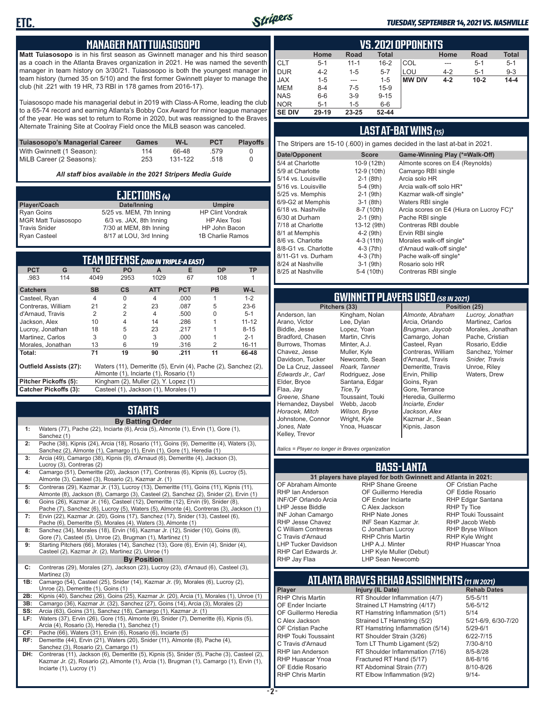

#### *TUESDAY, SEPTEMBER 14, 2021 VS. NASHVILLE*

#### **MANAGER MATT TUIASOSOPO**

**Matt Tuiasosopo** is in his first season as Gwinnett manager and his third season as a coach in the Atlanta Braves organization in 2021. He was named the seventh manager in team history on 3/30/21. Tuiasosopo is both the youngest manager in team history (turned 35 on 5/10) and the first former Gwinnett player to manage the club (hit .221 with 19 HR, 73 RBI in 178 games from 2016-17).

Tuiasosopo made his managerial debut in 2019 with Class-A Rome, leading the club to a 65-74 record and earning Atlanta's Bobby Cox Award for minor league manager of the year. He was set to return to Rome in 2020, but was reassigned to the Braves Alternate Training Site at Coolray Field once the MiLB season was canceled.

| Tuiasosopo's Managerial Career | Games | W-L     | <b>PCT</b> | <b>Plavoffs</b> |
|--------------------------------|-------|---------|------------|-----------------|
| With Gwinnett (1 Season):      | 114   | 66-48   | .579       |                 |
| MiLB Career (2 Seasons):       | 253   | 131-122 | - 518      |                 |

*All staff bios available in the 2021 Stripers Media Guide*

| EJECTIONS (4)              |                          |                         |  |  |  |
|----------------------------|--------------------------|-------------------------|--|--|--|
| Player/Coach               | Date/Inning              | <b>Umpire</b>           |  |  |  |
| <b>Ryan Goins</b>          | 5/25 vs. MEM, 7th Inning | <b>HP Clint Vondrak</b> |  |  |  |
| <b>MGR Matt Tuiasosopo</b> | 6/3 vs. JAX, 8th Inning  | <b>HP Alex Tosi</b>     |  |  |  |
| <b>Travis Snider</b>       | 7/30 at MEM, 8th Inning  | HP John Bacon           |  |  |  |
| <b>Ryan Casteel</b>        | 8/17 at LOU, 3rd Inning  | 1B Charlie Ramos        |  |  |  |

| <b>TEAM DEFENSE (2ND IN TRIPLE-A EAST)</b>                                               |                                                                       |                |                |                |            |           |           |
|------------------------------------------------------------------------------------------|-----------------------------------------------------------------------|----------------|----------------|----------------|------------|-----------|-----------|
| <b>PCT</b>                                                                               | G                                                                     | ТC             | <b>PO</b>      | A              | Е          | <b>DP</b> | <b>TP</b> |
| .983                                                                                     | 114                                                                   | 4049           | 2953           | 1029           | 67         | 108       |           |
| <b>Catchers</b>                                                                          |                                                                       | <b>SB</b>      | $\mathsf{cs}$  | <b>ATT</b>     | <b>PCT</b> | <b>PB</b> | W-L       |
| Casteel, Ryan                                                                            |                                                                       | $\overline{4}$ | $\Omega$       | 4              | .000       | 1         | $1 - 2$   |
| Contreras, William                                                                       |                                                                       | 21             | $\overline{2}$ | 23             | .087       | 5         | $23-6$    |
| d'Arnaud, Travis                                                                         |                                                                       | 2              | $\overline{2}$ | $\overline{4}$ | .500       | U         | $5 - 1$   |
| Jackson, Alex                                                                            |                                                                       | 10             | 4              | 14             | .286       |           | $11 - 12$ |
| Lucroy, Jonathan                                                                         |                                                                       | 18             | 5              | 23             | .217       |           | $8 - 15$  |
| Martinez, Carlos                                                                         |                                                                       | 3              | 0              | 3              | .000       |           | $2 - 1$   |
| Morales, Jonathan                                                                        |                                                                       | 13             | 6              | 19             | .316       | 2         | $16 - 11$ |
| Total:                                                                                   |                                                                       | 71             | 19             | 90             | .211       | 11        | 66-48     |
| Outfield Assists (27):<br>Waters (11), Demeritte (5), Ervin (4), Pache (2), Sanchez (2), |                                                                       |                |                |                |            |           |           |
|                                                                                          | Almonte (1), Inciarte (1), Rosario (1)                                |                |                |                |            |           |           |
|                                                                                          | Kingham (2), Muller (2), Y. Lopez (1)<br>Pitcher Pickoffs (5):        |                |                |                |            |           |           |
|                                                                                          | <b>Catcher Pickoffs (3):</b><br>Casteel (1), Jackson (1), Morales (1) |                |                |                |            |           |           |

# **STARTS**

|     | <b>By Batting Order</b>                                                                                                                                                          |
|-----|----------------------------------------------------------------------------------------------------------------------------------------------------------------------------------|
| 1:  | Waters (77), Pache (22), Inciarte (6), Arcia (5), Almonte (1), Ervin (1), Gore (1),<br>Sanchez (1)                                                                               |
| 2:  | Pache (38), Kipnis (24), Arcia (18), Rosario (11), Goins (9), Demeritte (4), Waters (3),<br>Sanchez (2), Almonte (1), Camargo (1), Ervin (1), Gore (1), Heredia (1)              |
| 3:  | Arcia (49), Camargo (38), Kipnis (9), d'Arnaud (6), Demeritte (4), Jackson (3),<br>Lucroy (3), Contreras (2)                                                                     |
| 4:  | Camargo (51), Demeritte (20), Jackson (17), Contreras (6), Kipnis (6), Lucroy (5),<br>Almonte (3), Casteel (3), Rosario (2), Kazmar Jr. (1)                                      |
| 5:  | Contreras (29), Kazmar Jr. (13), Lucroy (13), Demeritte (11), Goins (11), Kipnis (11),<br>Almonte (8), Jackson (8), Camargo (3), Casteel (2), Sanchez (2), Snider (2), Ervin (1) |
| 6:  | Goins (26), Kazmar Jr. (16), Casteel (12), Demeritte (12), Ervin (9), Snider (8),<br>Pache (7), Sanchez (6), Lucroy (5), Waters (5), Almonte (4), Contreras (3), Jackson (1)     |
| 7:  | Ervin (22), Kazmar Jr. (20), Goins (17), Sanchez (17), Snider (13), Casteel (6),<br>Pache (6), Demeritte (5), Morales (4), Waters (3), Almonte (1)                               |
| 8:  | Sanchez (34), Morales (18), Ervin (16), Kazmar Jr. (12), Snider (10), Goins (8),<br>Gore (7), Casteel (5), Unroe (2), Brugman (1), Martinez (1)                                  |
| 9:  | Starting Pitchers (66), Morales (14), Sanchez (13), Gore (6), Ervin (4), Snider (4),<br>Casteel (2), Kazmar Jr. (2), Martinez (2), Unroe (1)                                     |
|     | <b>By Position</b>                                                                                                                                                               |
| C:  | Contreras (29), Morales (27), Jackson (23), Lucroy (23), d'Arnaud (6), Casteel (3),<br>Martinez (3)                                                                              |
| 1B: | Camargo (54), Casteel (25), Snider (14), Kazmar Jr. (9), Morales (6), Lucroy (2),<br>Unroe (2), Demeritte (1), Goins (1)                                                         |
| 2B: | Kipnis (40), Sanchez (26), Goins (25), Kazmar Jr. (20), Arcia (1), Morales (1), Unroe (1)                                                                                        |
| 3B: | Camargo (36), Kazmar Jr. (32), Sanchez (27), Goins (14), Arcia (3), Morales (2)                                                                                                  |
| SS: | Arcia (63), Goins (31), Sanchez (18), Camargo (1), Kazmar Jr. (1)                                                                                                                |
| LF: | Waters (37), Ervin (26), Gore (15), Almonte (9), Snider (7), Demeritte (6), Kipnis (5),<br>Arcia (4), Rosario (3), Heredia (1), Sanchez (1)                                      |
| CF: | Pache (66), Waters (31), Ervin (6), Rosario (6), Inciarte (5)                                                                                                                    |
| RF: | Demeritte (44), Ervin (21), Waters (20), Snider (11), Almonte (8), Pache (4),<br>Sanchez (3), Rosario (2), Camargo (1)                                                           |
| DH: | Contreras (11), Jackson (6), Demeritte (5), Kipnis (5), Snider (5), Pache (3), Casteel (2)                                                                                       |

**DH:** Contreras (11), Jackson (6), Demeritte (5), Kipnis (5), Snider (5), Pache (3), Casteel (2), Kazmar Jr. (2), Rosario (2), Almonte (1), Arcia (1), Brugman (1), Camargo (1), Ervin (1), Inciarte (1), Lucroy (1)

|               | <b>VS. 2021 OPPONENTS</b> |          |              |               |         |             |              |  |  |  |  |  |  |  |
|---------------|---------------------------|----------|--------------|---------------|---------|-------------|--------------|--|--|--|--|--|--|--|
|               | Home                      | Road     | <b>Total</b> |               | Home    | <b>Road</b> | <b>Total</b> |  |  |  |  |  |  |  |
| <b>CLT</b>    | $5 - 1$                   | $11 - 1$ | $16 - 2$     | <b>COL</b>    |         | $5 - 1$     | $5 - 1$      |  |  |  |  |  |  |  |
| <b>DUR</b>    | $4 - 2$                   | $1 - 5$  | $5 - 7$      | LOU           | $4 - 2$ | $5-1$       | $9 - 3$      |  |  |  |  |  |  |  |
| <b>JAX</b>    | $1 - 5$                   | $- - -$  | $1 - 5$      | <b>MW DIV</b> | $4 - 2$ | $10 - 2$    | $14 - 4$     |  |  |  |  |  |  |  |
| <b>MEM</b>    | $8 - 4$                   | $7-5$    | $15-9$       |               |         |             |              |  |  |  |  |  |  |  |
| <b>NAS</b>    | $6-6$                     | $3-9$    | $9 - 15$     |               |         |             |              |  |  |  |  |  |  |  |
| <b>NOR</b>    | $5 - 1$                   | $1 - 5$  | $6-6$        |               |         |             |              |  |  |  |  |  |  |  |
| <b>SE DIV</b> | $29-19$                   | 23-25    | $52 - 44$    |               |         |             |              |  |  |  |  |  |  |  |

#### **LAST AT-BAT WINS** *(15)*

The Stripers are 15-10 (.600) in games decided in the last at-bat in 2021.

| Date/Opponent        | <b>Score</b> | Game-Winning Play (*=Walk-Off)           |
|----------------------|--------------|------------------------------------------|
| 5/4 at Charlotte     | 10-9 (12th)  | Almonte scores on E4 (Reynolds)          |
| 5/9 at Charlotte     | 12-9 (10th)  | Camargo RBI single                       |
| 5/14 vs. Louisville  | $2-1$ (8th)  | Arcia solo HR                            |
| 5/16 vs. Louisville  | 5-4 (9th)    | Arcia walk-off solo HR*                  |
| 5/25 vs. Memphis     | $2-1$ (9th)  | Kazmar walk-off single*                  |
| 6/9-G2 at Memphis    | $3-1$ (8th)  | Waters RBI single                        |
| 6/18 vs. Nashville   | 8-7 (10th)   | Arcia scores on E4 (Hiura on Lucroy FC)* |
| 6/30 at Durham       | $2-1$ (9th)  | Pache RBI single                         |
| 7/18 at Charlotte    | 13-12 (9th)  | Contreras RBI double                     |
| 8/1 at Memphis       | $4-2$ (9th)  | Ervin RBI single                         |
| 8/6 vs. Charlotte    | $4-3(11th)$  | Morales walk-off single*                 |
| 8/8-G1 vs. Charlotte | $4-3$ (7th)  | d'Arnaud walk-off single*                |
| 8/11-G1 vs. Durham   | $4-3(7th)$   | Pache walk-off single*                   |
| 8/24 at Nashville    | $3-1$ (9th)  | Rosario solo HR                          |
| 8/25 at Nashville    | 5-4 (10th)   | Contreras RBI single                     |
|                      |              |                                          |

# **GWINNETT PLAYERS USED** *(58 IN 2021)*

**Pitchers (33)** Anderson, Ian Arano, Victor Biddle, Jesse Bradford, Chasen Burrows, Thomas Chavez, Jesse Davidson, Tucker De La Cruz, Jasseel *Edwards Jr., Carl* Elder, Bryce Flaa, Jay *Greene, Shane*  Hernandez, Daysbel *Horacek, Mitch* Johnstone, Connor *Jones, Nate* Kelley, Trevor Kingham, Nolan Lee, Dylan Lopez, Yoan Martin, Chris Minter, A.J. Muller, Kyle Newcomb, Sean *Roark, Tanner* Rodriguez, Jose Santana, Edgar *Tice,Ty* Toussaint, Touki Webb, Jacob *Wilson, Bryse* Wright, Kyle Ynoa, Huascar

*Almonte, Abraham* Arcia, Orlando *Brugman, Jaycob* Camargo, Johan Casteel, Ryan Contreras, William d'Arnaud, Travis Demeritte, Travis Ervin, Phillip Goins, Ryan Gore, Terrance Heredia, Guillermo *Inciarte, Ender Jackson, Alex* Kazmar Jr., Sean Kipnis, Jason

*Lucroy, Jonathan* Martinez, Carlos Morales, Jonathan Pache, Cristian Rosario, Eddie Sanchez, Yolmer *Snider, Travis* Unroe, Riley Waters, Drew

*Italics = Player no longer in Braves organization*

#### **BASS-LANTA**

OF Abraham Almonte RHP Ian Anderson INF/OF Orlando Arcia LHP Jesse Biddle INF Johan Camargo RHP Jesse Chavez C William Contreras C Travis d'Arnaud LHP Tucker Davidson RHP Carl Edwards Jr. RHP Jay Flaa

**31 players have played for both Gwinnett and Atlanta in 2021:** RHP Shane Greene OF Guillermo Heredia OF Ender Inciarte C Alex Jackson RHP Nate Jones INF Sean Kazmar Jr. C Jonathan Lucroy RHP Chris Martin LHP A.J. Minter LHP Kyle Muller (Debut) LHP Sean Newcomb

OF Cristian Pache OF Eddie Rosario RHP Edgar Santana RHP Ty Tice RHP Touki Toussaint RHP Jacob Webb RHP Bryse Wilson RHP Kyle Wright RHP Huascar Ynoa

# **ATLANTA BRAVES REHAB ASSIGNMENTS** *(11 IN 2021)*

**- 2 -**

**Player Injury (IL Date)** RHP Chris Martin RT Shoulder Inflammation (4/7) 5/5-5/11<br>OF Ender Inciarte Strained LT Hamstring (4/17) 5/6-5/12 OF Ender Inciarte Strained LT Hamstring (4/17)<br>OF Guillermo Heredia RT Hamstring Inflammation (5) RT Hamstring Inflammation (5/1) 5/14 C Alex Jackson Strained LT Hamstring (5/2) 5/21-6/9, 6/30-7/20 OF Cristian Pache RT Hamstring Inflammation (5/14) 5/29-6/1<br>RHP Touki Toussaint RT Shoulder Strain (3/26) 6/22-7/15 RHP Touki Toussaint RT Shoulder Strain (3/26) 6/22-7/15<br>C. Travis d'Arnaud C. Torn LT Thumb Ligament (5/2) 6/10-8/10 Torn LT Thumb Ligament (5/2) RHP Ian Anderson RT Shoulder Inflammation (7/16) 8/5-8/28<br>RHP Huascar Ynoa Fractured RT Hand (5/17) 8/6-8/16 RHP Huascar Ynoa Fractured RT Hand (5/17)<br>OF Eddie Rosario RT Abdominal Strain (7/7) RT Abdominal Strain (7/7) 8/10-8/26 RHP Chris Martin **RT Elbow Inflammation (9/2)** 9/14-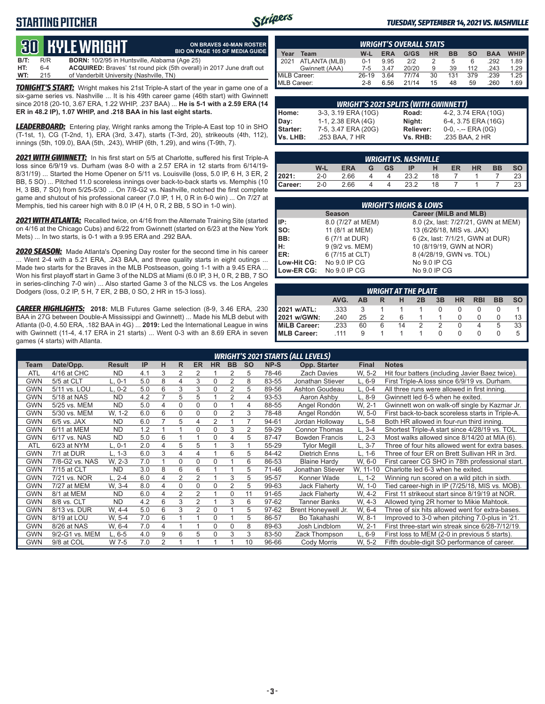### **STARTING PITCHER**



**ON BRAVES 40-MAN ROSTER**

#### *TUESDAY, SEPTEMBER 14, 2021 VS. NASHVILLE*

# **30****KYLE WRIGHT**

|      |         | <b>QUELITLE WINDHE</b>                               | <b>BIO ON PAGE 105 OF MEDIA GUIDE</b>                                 |
|------|---------|------------------------------------------------------|-----------------------------------------------------------------------|
| B/T: | R/R     | <b>BORN:</b> 10/2/95 in Huntsville, Alabama (Age 25) |                                                                       |
| HT:  | $6 - 4$ |                                                      | ACQUIRED: Braves' 1st round pick (5th overall) in 2017 June draft out |
| WT:  | 215     | of Vanderbilt University (Nashville, TN)             |                                                                       |

*TONIGHT'S START:* Wright makes his 21st Triple-A start of the year in game one of a six-game series vs. Nashville ... It is his 49th career game (46th start) with Gwinnett since 2018 (20-10, 3.67 ERA, 1.22 WHIP, .237 BAA) ... **He is 5-1 with a 2.59 ERA (14 ER in 48.2 IP), 1.07 WHIP, and .218 BAA in his last eight starts.**

*LEADERBOARD:* Entering play, Wright ranks among the Triple-A East top 10 in SHO (T-1st, 1), CG (T-2nd, 1), ERA (3rd, 3.47), starts (T-3rd, 20), strikeouts (4th, 112), innings (5th, 109.0), BAA (5th, .243), WHIP (6th, 1.29), and wins (T-9th, 7).

*2021 WITH GWINNETT:* In his first start on 5/5 at Charlotte, suffered his first Triple-A loss since 6/9/19 vs. Durham (was 8-0 with a 2.57 ERA in 12 starts from 6/14/19- 8/31/19) ... Started the Home Opener on 5/11 vs. Louisville (loss, 5.0 IP, 6 H, 3 ER, 2 BB, 5 SO) ... Pitched 11.0 scoreless innings over back-to-back starts vs. Memphis (10 H, 3 BB, 7 SO) from 5/25-5/30 ... On 7/8-G2 vs. Nashville, notched the first complete game and shutout of his professional career (7.0 IP, 1 H, 0 R in 6-0 win) ... On 7/27 at Memphis, tied his career high with 8.0 IP (4 H, 0 R, 2 BB, 5 SO in 1-0 win).

*2021 WITH ATLANTA:* Recalled twice, on 4/16 from the Alternate Training Site (started on 4/16 at the Chicago Cubs) and 6/22 from Gwinnett (started on 6/23 at the New York Mets) ... In two starts, is 0-1 with a 9.95 ERA and .292 BAA.

*2020 SEASON:* Made Atlanta's Opening Day roster for the second time in his career ... Went 2-4 with a 5.21 ERA, .243 BAA, and three quality starts in eight outings ... Made two starts for the Braves in the MLB Postseason, going 1-1 with a 9.45 ERA ... Won his first playoff start in Game 3 of the NLDS at Miami (6.0 IP, 3 H, 0 R, 2 BB, 7 SO in series-clinching 7-0 win) ... Also started Game 3 of the NLCS vs. the Los Angeles Dodgers (loss, 0.2 IP, 5 H, 7 ER, 2 BB, 0 SO, 2 HR in 15-3 loss).

*CAREER HIGHLIGHTS:* **2018:** MLB Futures Game selection (8-9, 3.46 ERA, .230 BAA in 27G between Double-A Mississippi and Gwinnett) ... Made his MLB debut with Atlanta (0-0, 4.50 ERA, .182 BAA in 4G) ... **2019:** Led the International League in wins with Gwinnett (11-4, 4.17 ERA in 21 starts) ... Went 0-3 with an 8.69 ERA in seven games (4 starts) with Atlanta.

|                     | <b>WRIGHT'S OVERALL STATS</b> |         |            |       |           |           |     |            |             |  |  |  |  |  |
|---------------------|-------------------------------|---------|------------|-------|-----------|-----------|-----|------------|-------------|--|--|--|--|--|
| Year                | Team                          | W-L     | <b>ERA</b> | G/GS  | <b>HR</b> | <b>BB</b> | so  | <b>BAA</b> | <b>WHIP</b> |  |  |  |  |  |
| $\blacksquare$ 2021 | ATLANTA (MLB)                 | $0 - 1$ | 9.95       | 212   |           | 5         | 6   | .292       | 1.89        |  |  |  |  |  |
|                     | Gwinnett (AAA)                | $7-5$   | 3.47       | 20/20 | 9         | 39        | 112 | .243       | 1.29        |  |  |  |  |  |
| MiLB Career:        |                               | 26-19   | 3.64       | 77/74 | 30        | 131       | 379 | .239       | 1.25        |  |  |  |  |  |
| MLB Career:         |                               | $2 - 8$ | 6.56       | 21/14 | 15        | 48        | 59  | .260       | 1.69        |  |  |  |  |  |

|                           | <b>WRIGHT'S 2021 SPLITS (WITH GWINNETT)</b> |           |                       |  |  |  |  |  |  |  |  |
|---------------------------|---------------------------------------------|-----------|-----------------------|--|--|--|--|--|--|--|--|
| Home:<br>Day:<br>Starter: | 3-3, 3.19 ERA (10G)                         | Road:     | 4-2, 3.74 ERA (10G)   |  |  |  |  |  |  |  |  |
|                           | 1-1, 2.38 ERA (4G)                          | Night:    | 6-4, 3.75 ERA (16G)   |  |  |  |  |  |  |  |  |
|                           | 7-5, 3.47 ERA (20G)                         | Reliever: | $0-0, - -$ ERA $(0G)$ |  |  |  |  |  |  |  |  |
| Vs. LHB:                  | .253 BAA, 7 HR                              | Vs. RHB:  | .235 BAA, 2 HR        |  |  |  |  |  |  |  |  |

|         | <b>WRIGHT VS. NASHVILLE</b> |            |   |           |      |    |    |           |           |           |  |  |  |  |
|---------|-----------------------------|------------|---|-----------|------|----|----|-----------|-----------|-----------|--|--|--|--|
|         | W-L                         | <b>ERA</b> | G | <b>GS</b> |      | H  | ER | <b>HR</b> | <b>BB</b> | <b>SO</b> |  |  |  |  |
| 2021:   | $2 - 0$                     | 2.66       |   | 4         | 23.2 | 18 |    |           |           | 23        |  |  |  |  |
| Career: | $2 - 0$                     | 2.66       |   | $\Lambda$ | 23.2 | 18 |    |           |           | 23        |  |  |  |  |

|             | <b>WRIGHT'S HIGHS &amp; LOWS</b> |                                     |  |  |  |  |  |  |  |  |  |
|-------------|----------------------------------|-------------------------------------|--|--|--|--|--|--|--|--|--|
|             | <b>Season</b>                    | Career (MiLB and MLB)               |  |  |  |  |  |  |  |  |  |
| IP:         | 8.0 (7/27 at MEM)                | 8.0 (2x, last: 7/27/21, GWN at MEM) |  |  |  |  |  |  |  |  |  |
| Iso:        | 11 (8/1 at MEM)                  | 13 (6/26/18, MIS vs. JAX)           |  |  |  |  |  |  |  |  |  |
| IBB:        | 6 (7/1 at DUR)                   | 6 (2x, last: 7/1/21, GWN at DUR)    |  |  |  |  |  |  |  |  |  |
| IH:         | 9 (9/2 vs. MEM)                  | 10 (8/19/19, GWN at NOR)            |  |  |  |  |  |  |  |  |  |
| <b>IER:</b> | 6 (7/15 at CLT)                  | 8 (4/28/19, GWN vs. TOL)            |  |  |  |  |  |  |  |  |  |
| Low-Hit CG: | No 9.0 IP CG                     | No 9.0 IP CG                        |  |  |  |  |  |  |  |  |  |
| Low-ER CG:  | No 9.0 IP CG                     | No 9.0 IP CG                        |  |  |  |  |  |  |  |  |  |

|                     | <b>WRIGHT AT THE PLATE</b> |    |   |    |    |    |           |            |           |           |  |  |  |  |  |
|---------------------|----------------------------|----|---|----|----|----|-----------|------------|-----------|-----------|--|--|--|--|--|
|                     | AVG.                       | AB | R | н  | 2B | 3B | <b>HR</b> | <b>RBI</b> | <b>BB</b> | <b>SO</b> |  |  |  |  |  |
| 2021 w/ATL:         | .333                       |    |   |    |    |    |           |            |           |           |  |  |  |  |  |
| 2021 w/GWN:         | .240                       | 25 |   | 6  |    |    |           |            |           | 13        |  |  |  |  |  |
| MiLB Career:        | .233                       | 60 | 6 | 14 |    |    |           |            | 5         | 33        |  |  |  |  |  |
| <b>IMLB Career:</b> | 111                        | 9  |   |    |    |    |           |            |           | 5         |  |  |  |  |  |

|            | <b>WRIGHT'S 2021 STARTS (ALL LEVELS)</b> |               |     |                |    |                |           |                |           |       |                       |              |                                                  |  |
|------------|------------------------------------------|---------------|-----|----------------|----|----------------|-----------|----------------|-----------|-------|-----------------------|--------------|--------------------------------------------------|--|
| Team       | Date/Opp.                                | <b>Result</b> | IP  | н              | R. | <b>ER</b>      | <b>HR</b> | <b>BB</b>      | <b>SO</b> | NP-S  | Opp. Starter          | <b>Final</b> | <b>Notes</b>                                     |  |
| <b>ATL</b> | 4/16 at CHC                              | <b>ND</b>     | 4.1 | 3              | 2  | 2              |           | 2              | 5         | 78-46 | <b>Zach Davies</b>    | W. 5-2       | Hit four batters (including Javier Baez twice).  |  |
| <b>GWN</b> | 5/5 at CLT                               | $L.0-1$       | 5.0 | 8              | 4  | 3              | $\Omega$  | $\overline{2}$ | 8         | 83-55 | Jonathan Stiever      | $L.6-9$      | First Triple-A loss since 6/9/19 vs. Durham.     |  |
| <b>GWN</b> | 5/11 vs. LOU                             | $L, 0-2$      | 5.0 | 6              | 3  | 3              | $\Omega$  | $\overline{2}$ | 5         | 89-56 | Ashton Goudeau        | L, 0-4       | All three runs were allowed in first inning.     |  |
| <b>GWN</b> | 5/18 at NAS                              | <b>ND</b>     | 4.2 | $\overline{7}$ | 5  | 5              |           | $\overline{2}$ | 4         | 93-53 | Aaron Ashby           | $L.8-9$      | Gwinnett led 6-5 when he exited.                 |  |
| <b>GWN</b> | 5/25 vs. MEM                             | <b>ND</b>     | 5.0 | 4              | 0  | $\Omega$       | $\Omega$  |                | 4         | 88-55 | Angel Rondón          | W. 2-1       | Gwinnett won on walk-off single by Kazmar Jr.    |  |
| <b>GWN</b> | 5/30 vs. MEM                             | W. 1-2        | 6.0 | 6              | 0  | 0              | $\Omega$  | $\overline{2}$ | 3         | 78-48 | Angel Rondón          | W, 5-0       | First back-to-back scoreless starts in Triple-A. |  |
| <b>GWN</b> | $6/5$ vs. JAX                            | <b>ND</b>     | 6.0 | $\overline{7}$ | 5  | 4              | 2         |                |           | 94-61 | Jordan Holloway       | $L, 5-8$     | Both HR allowed in four-run third inning.        |  |
| <b>GWN</b> | 6/11 at MEM                              | <b>ND</b>     | 1.2 |                |    | 0              | $\Omega$  | 3              | 2         | 59-29 | <b>Connor Thomas</b>  | $L.3-4$      | Shortest Triple-A start since 4/28/19 vs. TOL.   |  |
| <b>GWN</b> | 6/17 vs. NAS                             | <b>ND</b>     | 5.0 | 6              |    |                | $\Omega$  | 4              | 5         | 87-47 | <b>Bowden Francis</b> | $L, 2-3$     | Most walks allowed since 8/14/20 at MIA (6).     |  |
| <b>ATL</b> | 6/23 at NYM                              | $L, 0-1$      | 2.0 | 4              | 5  | 5              |           | 3              |           | 55-29 | <b>Tylor Megill</b>   | $L, 3-7$     | Three of four hits allowed went for extra bases. |  |
| <b>GWN</b> | 7/1 at DUR                               | $L. 1-3$      | 6.0 | 3              | 4  | 4              |           | 6              | 5         | 84-42 | <b>Dietrich Enns</b>  | $L. 1-6$     | Three of four ER on Brett Sullivan HR in 3rd.    |  |
| <b>GWN</b> | 7/8-G2 vs. NAS                           | W. 2-3        | 7.0 |                | 0  | $\Omega$       | 0         |                | 6         | 86-53 | <b>Blaine Hardy</b>   | W, 6-0       | First career CG SHO in 78th professional start.  |  |
| <b>GWN</b> | 7/15 at CLT                              | <b>ND</b>     | 3.0 | 8              | 6  | 6              |           |                | 5         | 71-46 | Jonathan Stiever      | W, 11-10     | Charlotte led 6-3 when he exited.                |  |
| <b>GWN</b> | 7/21 vs. NOR                             | $L. 2 - 4$    | 6.0 | 4              | 2  | $\overline{2}$ |           | 3              | 5         | 95-57 | Konner Wade           | $L. 1-2$     | Winning run scored on a wild pitch in sixth.     |  |
| <b>GWN</b> | 7/27 at MEM                              | W. 3-4        | 8.0 | 4              | 0  | 0              | $\Omega$  | $\overline{2}$ | 5         | 99-63 | <b>Jack Flaherty</b>  | W, 1-0       | Tied career-high in IP (7/25/18, MIS vs. MOB).   |  |
| <b>GWN</b> | 8/1 at MEM                               | <b>ND</b>     | 6.0 | 4              | 2  | 2              |           | 0              | 11        | 91-65 | <b>Jack Flaherty</b>  | W. 4-2       | First 11 strikeout start since 8/19/19 at NOR.   |  |
| <b>GWN</b> | 8/8 vs. CLT                              | <b>ND</b>     | 4.2 | 6              | 3  | 2              |           | 3              | 6         | 97-62 | <b>Tanner Banks</b>   | W. 4-3       | Allowed tying 2R homer to Mikie Mahtook.         |  |
| <b>GWN</b> | 8/13 vs. DUR                             | W. 4-4        | 5.0 | 6              | 3  | 2              | $\Omega$  |                | 5         | 97-62 | Brent Honeywell Jr.   | W, 6-4       | Three of six hits allowed went for extra-bases.  |  |
| <b>GWN</b> | 8/19 at LOU                              | W. 5-4        | 7.0 | 6              |    |                | $\Omega$  |                | 5         | 86-57 | Bo Takahashi          | W. 8-1       | Improved to 3-0 when pitching 7.0-plus in '21.   |  |
| <b>GWN</b> | 8/26 at NAS                              | W. 6-4        | 7.0 | 4              |    |                | 0         | $\Omega$       | 8         | 89-63 | Josh Lindblom         | W. 2-1       | First three-start win streak since 6/28-7/12/19. |  |
| <b>GWN</b> | 9/2-G1 vs. MEM                           | $L, 6-5$      | 4.0 | 9              | 6  | 5              | $\Omega$  | 3              | 3         | 83-50 | Zack Thompson         | $L, 6-9$     | First loss to MEM (2-0 in previous 5 starts).    |  |
| <b>GWN</b> | 9/8 at COL                               | W 7-5         | 7.0 | 2              |    |                |           |                | 10        | 96-66 | Cody Morris           | W. 5-2       | Fifth double-digit SO performance of career.     |  |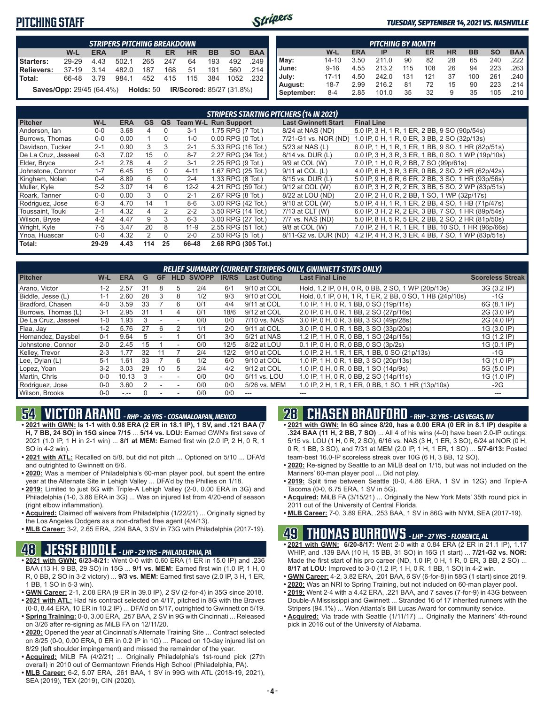### **PITCHING STAFF**



#### *TUESDAY, SEPTEMBER 14, 2021 VS. NASHVILLE*

|                                                                                         | <b>STRIPERS PITCHING BREAKDOWN</b>                                              |      |       |     |     |     |     |      |       |  |  |  |  |  |
|-----------------------------------------------------------------------------------------|---------------------------------------------------------------------------------|------|-------|-----|-----|-----|-----|------|-------|--|--|--|--|--|
| W-L<br><b>HR</b><br><b>BB</b><br><b>ERA</b><br><b>SO</b><br><b>BAA</b><br>ER<br>IP<br>R |                                                                                 |      |       |     |     |     |     |      |       |  |  |  |  |  |
| Starters:                                                                               | 29-29                                                                           | 4.43 | 502.1 | 265 | 247 | 64  | 193 | 492  | 249   |  |  |  |  |  |
| Relievers:                                                                              | $37-19$                                                                         | 3.14 | 482.0 | 187 | 168 | 51  | 191 | 560  | .214  |  |  |  |  |  |
| l Total:                                                                                | 66-48                                                                           | 3.79 | 984.1 | 452 | 415 | 115 | 384 | 1052 | - 232 |  |  |  |  |  |
|                                                                                         | <b>IR/Scored: 85/27 (31.8%)</b><br><b>Saves/Opp: 29/45 (64.4%)</b><br>Holds: 50 |      |       |     |     |     |     |      |       |  |  |  |  |  |

|                                                                                         | <b>PITCHING BY MONTH</b> |      |       |     |     |    |     |     |                       |  |  |  |  |  |
|-----------------------------------------------------------------------------------------|--------------------------|------|-------|-----|-----|----|-----|-----|-----------------------|--|--|--|--|--|
| <b>BAA</b><br><b>SO</b><br><b>BB</b><br><b>HR</b><br>W-L<br><b>ERA</b><br>ER<br>IP<br>R |                          |      |       |     |     |    |     |     |                       |  |  |  |  |  |
| May:                                                                                    | $14 - 10$                | 3.50 | 211.0 | 90  | 82  | 28 | 65  | 240 | $.222$ $\blacksquare$ |  |  |  |  |  |
| June:                                                                                   | $9 - 16$                 | 4.55 | 213.2 | 115 | 108 | 26 | 94  | 223 | $.263$ $\blacksquare$ |  |  |  |  |  |
| July:                                                                                   | $17 - 11$                | 4.50 | 242.0 | 131 | 121 | 37 | 100 | 261 | .240                  |  |  |  |  |  |
| August:                                                                                 | $18 - 7$                 | 2.99 | 216.2 | 81  | 72  | 15 | 90  | 223 | .214 I                |  |  |  |  |  |
| September:                                                                              | 8-4                      | 2.85 | 101.0 | 35  | 32  | 9  | 35  | 105 | .210 ∎                |  |  |  |  |  |

|                     |         |            |           |          |          | <b>STRIPERS STARTING PITCHERS (14 IN 2021)</b> |                            |                                                     |
|---------------------|---------|------------|-----------|----------|----------|------------------------------------------------|----------------------------|-----------------------------------------------------|
| <b>Pitcher</b>      | $W-L$   | <b>ERA</b> | <b>GS</b> | QS       |          | <b>Team W-L Run Support</b>                    | <b>Last Gwinnett Start</b> | <b>Final Line</b>                                   |
| Anderson, lan       | $0 - 0$ | 3.68       | 4         | 0        | $3 - 1$  | 1.75 RPG (7 Tot.)                              | 8/24 at NAS (ND)           | 5.0 IP, 3 H, 1 R, 1 ER, 2 BB, 9 SO (90p/54s)        |
| Burrows. Thomas     | $0-0$   | 0.00       |           | $\Omega$ | $1 - 0$  | 0.00 RPG (0 Tot.)                              | 7/21-G1 vs. NOR (ND)       | 1.0 IP, 0 H, 1 R, 0 ER, 3 BB, 2 SO (32p/13s)        |
| Davidson, Tucker    | $2 - 1$ | 0.90       | 3         | 3        | $2 - 1$  | 5.33 RPG (16 Tot.)                             | 5/23 at NAS (L)            | 6.0 IP, 1 H, 1 R, 1 ER, 1 BB, 9 SO, 1 HR (82p/51s)  |
| De La Cruz, Jasseel | $0 - 3$ | 7.02       | 15        | $\Omega$ | $8 - 7$  | 2.27 RPG (34 Tot.)                             | 8/14 vs. DUR (L)           | 0.0 IP, 3 H, 3 R, 3 ER, 1 BB, 0 SO, 1 WP (19p/10s)  |
| Elder, Bryce        | $2 - 1$ | 2.78       | 4         | 2        | $3 - 1$  | 2.25 RPG (9 Tot.)                              | 9/9 at COL (W)             | 7.0 IP, 1 H, 0 R, 2 BB, 7 SO (99p/61s)              |
| Johnstone, Connor   | $1 - 7$ | 6.45       | 15        | 0        | $4 - 11$ | 1.67 RPG (25 Tot.)                             | 9/11 at COL (L)            | 4.0 IP, 6 H, 3 R, 3 ER, 0 BB, 2 SO, 2 HR (62p/42s)  |
| Kingham, Nolan      | $0 - 4$ | 8.89       | 6         | $\Omega$ | $2 - 4$  | 1.33 RPG (8 Tot.)                              | 8/15 vs. DUR (L)           | 5.0 IP, 9 H, 6 R, 6 ER, 2 BB, 3 SO, 1 HR (93p/56s)  |
| Muller, Kyle        | $5 - 2$ | 3.07       | 14        | 6        | $12 - 2$ | 4.21 RPG (59 Tot.)                             | 9/12 at COL (W)            | 6.0 IP, 3 H, 2 R, 2 ER, 3 BB, 5 SO, 2 WP (83p/51s)  |
| Roark, Tanner       | $0-0$   | 0.00       | 3         | $\Omega$ | $2 - 1$  | 2.67 RPG (8 Tot.)                              | 8/22 at LOU (ND)           | 2.0 IP, 2 H, 0 R, 2 BB, 1 SO, 1 WP (32p/17s)        |
| Rodriguez, Jose     | $6-3$   | 4.70       | 14        |          | $8 - 6$  | 3.00 RPG (42 Tot.)                             | 9/10 at COL (W)            | 5.0 IP, 4 H, 1 R, 1 ER, 2 BB, 4 SO, 1 HB (71p/47s)  |
| Toussaint, Touki    | $2 - 1$ | 4.32       | 4         | 2        | $2 - 2$  | 3.50 RPG (14 Tot.)                             | 7/13 at CLT (W)            | 6.0 IP, 3 H, 2 R, 2 ER, 3 BB, 7 SO, 1 HR (89p/54s)  |
| Wilson, Bryse       | $4 - 2$ | 4.47       | 9         | 3        | $6 - 3$  | 3.00 RPG (27 Tot.)                             | 7/7 vs. NAS (ND)           | 5.0 IP, 8 H, 5 R, 5 ER, 2 BB, 2 SO, 2 HR (81p/50s)  |
| Wright, Kyle        | $7 - 5$ | 3.47       | 20        | 8        | $11-9$   | 2.55 RPG (51 Tot.)                             | 9/8 at COL (W)             | 7.0 IP, 2 H, 1 R, 1 ER, 1 BB, 10 SO, 1 HR (96p/66s) |
| Ynoa, Huascar       | $0-0$   | 4.32       | 2         | $\Omega$ | $2 - 0$  | 2.50 RPG (5 Tot.)                              | 8/11-G2 vs. DUR (ND)       | 4.2 IP, 4 H, 3 R, 3 ER, 4 BB, 7 SO, 1 WP (83p/51s)  |
| Total:              | 29-29   | 4.43       | 114       | 25       | 66-48    | 2.68 RPG (305 Tot.)                            |                            |                                                     |

|                     |         |            |    |           |                          |                   |              |                    | <b>RELIEF SUMMARY (CURRENT STRIPERS ONLY, GWINNETT STATS ONLY)</b> |                         |
|---------------------|---------|------------|----|-----------|--------------------------|-------------------|--------------|--------------------|--------------------------------------------------------------------|-------------------------|
| <b>Pitcher</b>      | W-L     | <b>ERA</b> | G  | <b>GF</b> |                          | <b>HLD SV/OPP</b> | <b>IR/RS</b> | <b>Last Outing</b> | <b>Last Final Line</b>                                             | <b>Scoreless Streak</b> |
| Arano, Victor       | $1 - 2$ | 2.57       | 31 | 8         | 5                        | 2/4               | 6/1          | 9/10 at COL        | Hold, 1.2 IP, 0 H, 0 R, 0 BB, 2 SO, 1 WP (20p/13s)                 | 3G (3.2 IP)             |
| Biddle, Jesse (L)   | $1 - 1$ | 2.60       | 28 |           | 8                        | 1/2               | 9/3          | 9/10 at COL        | Hold, 0.1 IP, 0 H, 1 R, 1 ER, 2 BB, 0 SO, 1 HB (24p/10s)           | -1G                     |
| Bradford, Chasen    | $4 - 0$ | 3.59       | 33 |           | 6                        | 0/1               | 4/4          | 9/11 at COL        | 1.0 IP, 1 H, 0 R, 1 BB, 0 SO (19p/11s)                             | 6G (8.1 IP)             |
| Burrows, Thomas (L) | $3 - 1$ | 2.95       | 31 |           | 4                        | 0/1               | 18/6         | 9/12 at COL        | 2.0 IP, 0 H, 0 R, 1 BB, 2 SO (27p/16s)                             | 2G (3.0 IP)             |
| De La Cruz, Jasseel | $1 - 0$ | .93        |    |           | $\overline{\phantom{a}}$ | 0/0               | 0/0          | 7/10 vs. NAS       | 3.0 IP, 0 H, 0 R, 3 BB, 3 SO (49p/28s)                             | 2G (4.0 IP)             |
| Flaa, Jay           | $1 - 2$ | 5.76       | 27 | 6         |                          | 1/1               | 2/0          | 9/11 at COL        | 3.0 IP, 0 H, 0 R, 1 BB, 3 SO (33p/20s)                             | 1G (3.0 IP)             |
| Hernandez, Daysbel  | $0 - 1$ | 9.64       |    |           |                          | 0/1               | 3/0          | 5/21 at NAS        | 1.2 IP, 1 H, 0 R, 0 BB, 1 SO (24p/15s)                             | 1G (1.2 IP)             |
| Johnstone, Connor   | $2 - 0$ | 2.45       | 15 |           |                          | 0/0               | 12/5         | 8/22 at LOU        | 0.1 IP, 0 H, 0 R, 0 BB, 0 SO (3p/2s)                               | 1G (0.1 IP)             |
| Kelley, Trevor      | $2 - 3$ | 1.77       | 32 | 11        |                          | 2/4               | 12/2         | 9/10 at COL        | 1.0 IP, 2 H, 1 R, 1 ER, 1 BB, 0 SO (21p/13s)                       | -1G                     |
| Lee, Dylan (L)      | $5-1$   | 1.61       | 33 |           | 6                        | 1/2               | 6/0          | 9/10 at COL        | 1.0 IP, 1 H, 0 R, 1 BB, 3 SO (20p/13s)                             | 1G (1.0 IP)             |
| Lopez, Yoan         | $3 - 2$ | 3.03       | 29 | 10        | 5                        | 2/4               | 4/2          | 9/12 at COL        | 1.0 IP, 0 H, 0 R, 0 BB, 1 SO (14p/9s)                              | 5G (5.0 IP)             |
| Martin, Chris       | $0 - 0$ | 10.13      |    |           |                          | 0/0               | 0/0          | 5/11 vs. LOU       | 1.0 IP, 1 H, 0 R, 0 BB, 2 SO (14p/11s)                             | 1G (1.0 IP)             |
| Rodriguez, Jose     | $0 - 0$ | 3.60       |    |           |                          | 0/0               | 0/0          | 5/26 vs. MEM       | 1.0 IP, 2 H, 1 R, 1 ER, 0 BB, 1 SO, 1 HR (13p/10s)                 | $-2G$                   |
| Wilson, Brooks      | $0 - 0$ |            |    |           |                          | 0/0               | 0/0          | ---                |                                                                    | ---                     |

# **54 VICTOR ARANO** *- RHP - 26 YRS - COSAMALOAPAN, MEXICO*

- **• 2021 with GWN: Is 1-1 with 0.98 ERA (2 ER in 18.1 IP), 1 SV, and .121 BAA (7 H, 7 BB, 24 SO) in 15G since 7/15** ... **5/14 vs. LOU:** Earned GWN's first save of 2021 (1.0 IP, 1 H in 2-1 win) ... **8/1 at MEM:** Earned first win (2.0 IP, 2 H, 0 R, 1 SO in 4-2 win).
- **• 2021 with ATL:** Recalled on 5/8, but did not pitch ... Optioned on 5/10 ... DFA'd and outrighted to Gwinnett on 6/6.
- **• 2020:** Was a member of Philadelphia's 60-man player pool, but spent the entire year at the Alternate Site in Lehigh Valley ... DFA'd by the Phillies on 1/18.
- **• 2019:** Limited to just 6G with Triple-A Lehigh Valley (2-0, 0.00 ERA in 3G) and Philadelphia (1-0, 3.86 ERA in 3G) ... Was on injured list from 4/20-end of season (right elbow inflammation).
- **• Acquired:** Claimed off waivers from Philadelphia (1/22/21) ... Originally signed by the Los Angeles Dodgers as a non-drafted free agent (4/4/13).
- **• MLB Career:** 3-2, 2.65 ERA, .224 BAA, 3 SV in 73G with Philadelphia (2017-19).

### **48 JESSE BIDDLE** *- LHP - 29 YRS - PHILADELPHIA, PA*

- **• 2021 with GWN: 6/23-8/21:** Went 0-0 with 0.60 ERA (1 ER in 15.0 IP) and .236 BAA (13 H, 9 BB, 29 SO) in 15G ... **9/1 vs. MEM:** Earned first win (1.0 IP, 1 H, 0 R, 0 BB, 2 SO in 3-2 victory) ... **9/3 vs. MEM:** Earned first save (2.0 IP, 3 H, 1 ER, 1 BB, 1 SO in 5-3 win).
- **• GWN Career:** 2-1, 2.08 ERA (9 ER in 39.0 IP), 2 SV (2-for-4) in 35G since 2018. **• 2021 with ATL:** Had his contract selected on 4/17, pitched in 8G with the Braves
- (0-0, 8.44 ERA, 10 ER in 10.2 IP) ... DFA'd on 5/17, outrighted to Gwinnett on 5/19. **• Spring Training:** 0-0, 3.00 ERA, .257 BAA, 2 SV in 9G with Cincinnati ... Released on 3/26 after re-signing as MiLB FA on 12/11/20.
- **• 2020:** Opened the year at Cincinnati's Alternate Training Site ... Contract selected on 8/25 (0-0, 0.00 ERA, 0 ER in 0.2 IP in 1G) ... Placed on 10-day injured list on 8/29 (left shoulder impingement) and missed the remainder of the year.
- **• Acquired:** MiLB FA (4/2/21) ... Originally Philadelphia's 1st-round pick (27th overall) in 2010 out of Germantown Friends High School (Philadelphia, PA).
- **• MLB Career:** 6-2, 5.07 ERA, .261 BAA, 1 SV in 99G with ATL (2018-19, 2021), SEA (2019), TEX (2019), CIN (2020).

# **28 CHASEN BRADFORD** *- RHP - 32 YRS - LAS VEGAS, NV*

- **• 2021 with GWN: In 6G since 8/20, has a 0.00 ERA (0 ER in 8.1 IP) despite a .324 BAA (11 H, 2 BB, 7 SO)** ... All 4 of his wins (4-0) have been 2.0-IP outings: 5/15 vs. LOU (1 H, 0 R, 2 SO), 6/16 vs. NAS (3 H, 1 ER, 3 SO), 6/24 at NOR (0 H, 0 R, 1 BB, 3 SO), and 7/31 at MEM (2.0 IP, 1 H, 1 ER, 1 SO) ... **5/7-6/13:** Posted team-best 16.0-IP scoreless streak over 10G (6 H, 3 BB, 12 SO).
- **• 2020:** Re-signed by Seattle to an MiLB deal on 1/15, but was not included on the Mariners' 60-man player pool ... Did not play.
- **• 2019:** Split time between Seattle (0-0, 4.86 ERA, 1 SV in 12G) and Triple-A Tacoma (0-0, 6.75 ERA, 1 SV in 5G).
- **• Acquired:** MiLB FA (3/15/21) ... Originally the New York Mets' 35th round pick in 2011 out of the University of Central Florida.
- **• MLB Career:** 7-0, 3.89 ERA, .253 BAA, 1 SV in 86G with NYM, SEA (2017-19).

### **49 THOMAS BURROWS** *- LHP - 27 YRS - FLORENCE, AL*

- **• 2021 with GWN: 6/20-8/17:** Went 2-0 with a 0.84 ERA (2 ER in 21.1 IP), 1.17 WHIP, and .139 BAA (10 H, 15 BB, 31 SO) in 16G (1 start) ... **7/21-G2 vs. NOR:** Made the first start of his pro career (ND, 1.0 IP, 0 H, 1 R, 0 ER, 3 BB, 2 SO). **8/17 at LOU:** Improved to 3-0 (1.2 IP, 1 H, 0 R, 1 BB, 1 SO) in 4-2 win.
- **• GWN Career:** 4-2, 3.82 ERA, .201 BAA, 6 SV (6-for-8) in 58G (1 start) since 2019.
- **• 2020:** Was an NRI to Spring Training, but not included on 60-man player pool.
- **• 2019:** Went 2-4 with a 4.42 ERA, .221 BAA, and 7 saves (7-for-9) in 43G between Double-A Mississippi and Gwinnett ... Stranded 16 of 17 inherited runners with the Stripers (94.1%) ... Won Atlanta's Bill Lucas Award for community service.
- **• Acquired:** Via trade with Seattle (1/11/17) ... Originally the Mariners' 4th-round pick in 2016 out of the University of Alabama.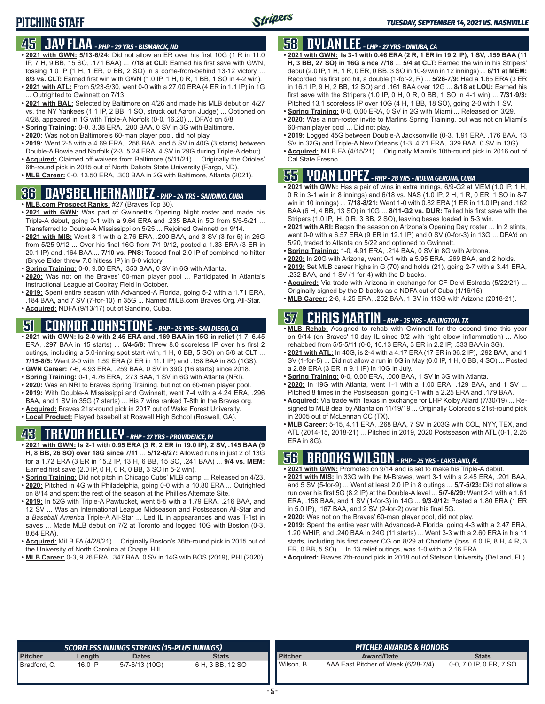### **45 JAY FLAA** *- RHP - 29 YRS - BISMARCK, ND*

- **• 2021 with GWN: 5/13-6/24:** Did not allow an ER over his first 10G (1 R in 11.0 IP, 7 H, 9 BB, 15 SO, .171 BAA) ... **7/18 at CLT:** Earned his first save with GWN, tossing 1.0 IP (1 H, 1 ER, 0 BB, 2 SO) in a come-from-behind 13-12 victory ... **8/3 vs. CLT:** Earned first win with GWN (1.0 IP, 1 H, 0 R, 1 BB, 1 SO in 4-2 win).
- **• 2021 with ATL:** From 5/23-5/30, went 0-0 with a 27.00 ERA (4 ER in 1.1 IP) in 1G ... Outrighted to Gwinnett on 7/13.
- **• 2021 with BAL:** Selected by Baltimore on 4/26 and made his MLB debut on 4/27 vs. the NY Yankees (1.1 IP, 2 BB, 1 SO, struck out Aaron Judge) ... Optioned on 4/28, appeared in 1G with Triple-A Norfolk (0-0, 16.20) ... DFA'd on 5/8.
- **• Spring Training:** 0-0, 3.38 ERA, .200 BAA, 0 SV in 3G with Baltimore.
- **• 2020:** Was not on Baltimore's 60-man player pool, did not play.
- **• 2019:** Went 2-5 with a 4.69 ERA, .256 BAA, and 5 SV in 40G (3 starts) between Double-A Bowie and Norfolk (2-3, 5.24 ERA, 4 SV in 29G during Triple-A debut).
- **• Acquired:** Claimed off waivers from Baltimore (5/11/21) ... Originally the Orioles' 6th-round pick in 2015 out of North Dakota State University (Fargo, ND).
- **• MLB Career:** 0-0, 13.50 ERA, .300 BAA in 2G with Baltimore, Atlanta (2021).

### **36 DAYSBEL HERNANDEZ** *- RHP - 24 YRS - SANDINO, CUBA*

- **• MLB.com Prospect Ranks:** #27 (Braves Top 30).
- **• 2021 with GWN:** Was part of Gwinnett's Opening Night roster and made his Triple-A debut, going 0-1 with a 9.64 ERA and .235 BAA in 5G from 5/5-5/21 ... Transferred to Double-A Mississippi on 5/25 ... Rejoined Gwinnett on 9/14.
- **• 2021 with MIS:** Went 3-1 with a 2.76 ERA, .200 BAA, and 3 SV (3-for-5) in 26G from 5/25-9/12 ... Over his final 16G from 7/1-9/12, posted a 1.33 ERA (3 ER in 20.1 IP) and .164 BAA ... **7/10 vs. PNS:** Tossed final 2.0 IP of combined no-hitter (Bryce Elder threw 7.0 hitless IP) in 6-0 victory.
- **• Spring Training:** 0-0, 9.00 ERA, .353 BAA, 0 SV in 6G with Atlanta.
- **• 2020:** Was not on the Braves' 60-man player pool ... Participated in Atlanta's Instructional League at Coolray Field in October.
- **• 2019:** Spent entire season with Advanced-A Florida, going 5-2 with a 1.71 ERA, .184 BAA, and 7 SV (7-for-10) in 35G ... Named MiLB.com Braves Org. All-Star.
- **• Acquired:** NDFA (9/13/17) out of Sandino, Cuba.

# **51 CONNOR JOHNSTONE** *- RHP - 26 YRS - SAN DIEGO, CA*

- **• 2021 with GWN: Is 2-0 with 2.45 ERA and .169 BAA in 15G in relief** (1-7, 6.45 ERA, .297 BAA in 15 starts) ... **5/4-5/8:** Threw 8.0 scoreless IP over his first 2 outings, including a 5.0-inning spot start (win, 1 H, 0 BB, 5 SO) on 5/8 at CLT ... **7/15-8/5:** Went 2-0 with 1.59 ERA (2 ER in 11.1 IP) and .158 BAA in 8G (1GS). **• GWN Career:** 7-6, 4.93 ERA, .259 BAA, 0 SV in 39G (16 starts) since 2018.
- 
- **• Spring Training:** 0-1, 4.76 ERA, .273 BAA, 1 SV in 6G with Atlanta (NRI). **• 2020:** Was an NRI to Braves Spring Training, but not on 60-man player pool.
- **• 2019:** With Double-A Mississippi and Gwinnett, went 7-4 with a 4.24 ERA, .296
- BAA, and 1 SV in 35G (7 starts) ... His 7 wins ranked T-8th in the Braves org.
- **• Acquired:** Braves 21st-round pick in 2017 out of Wake Forest University.
- **• Local Product:** Played baseball at Roswell High School (Roswell, GA).

# **43 TREVOR KELLEY** *- RHP - 27 YRS - PROVIDENCE, RI*

- **• 2021 with GWN: Is 2-1 with 0.95 ERA (3 R, 2 ER in 19.0 IP), 2 SV, .145 BAA (9 H, 8 BB, 26 SO) over 18G since 7/11** ... **5/12-6/27:** Allowed runs in just 2 of 13G for a 1.72 ERA (3 ER in 15.2 IP, 13 H, 6 BB, 15 SO, .241 BAA) ... **9/4 vs. MEM:** Earned first save (2.0 IP, 0 H, 0 R, 0 BB, 3 SO in 5-2 win).
- **• Spring Training:** Did not pitch in Chicago Cubs' MLB camp ... Released on 4/23.
- **• 2020:** Pitched in 4G with Philadelphia, going 0-0 with a 10.80 ERA ... Outrighted on 8/14 and spent the rest of the season at the Phillies Alternate Site.
- **• 2019:** In 52G with Triple-A Pawtucket, went 5-5 with a 1.79 ERA, .216 BAA, and 12 SV ... Was an International League Midseason and Postseason All-Star and a *Baseball America* Triple-A All-Star ... Led IL in appearances and was T-1st in saves ... Made MLB debut on 7/2 at Toronto and logged 10G with Boston (0-3, 8.64 ERA).
- **• Acquired:** MiLB FA (4/28/21) ... Originally Boston's 36th-round pick in 2015 out of the University of North Carolina at Chapel Hill.
- **• MLB Career:** 0-3, 9.26 ERA, .347 BAA, 0 SV in 14G with BOS (2019), PHI (2020).

# **58 DYLAN LEE** *- LHP - 27 YRS - DINUBA, CA*

- **• 2021 with GWN: Is 3-1 with 0.46 ERA (2 R, 1 ER in 19.2 IP), 1 SV, .159 BAA (11 H, 3 BB, 27 SO) in 16G since 7/18** ... **5/4 at CLT:** Earned the win in his Stripers' debut (2.0 IP, 1 H, 1 R, 0 ER, 0 BB, 3 SO in 10-9 win in 12 innings) ... **6/11 at MEM:** Recorded his first pro hit, a double (1-for-2, R) ... **5/26-7/9:** Had a 1.65 ERA (3 ER in 16.1 IP, 9 H, 2 BB, 12 SO) and .161 BAA over 12G ... **8/18 at LOU:** Earned his first save with the Stripers (1.0 IP, 0 H, 0 R, 0 BB, 1 SO in 4-1 win) ... **7/31-9/3:** Pitched 13.1 scoreless IP over 10G (4 H, 1 BB, 18 SO), going 2-0 with 1 SV.
- **• Spring Training:** 0-0, 0.00 ERA, 0 SV in 2G with Miami ... Released on 3/29.
- **• 2020:** Was a non-roster invite to Marlins Spring Training, but was not on Miami's 60-man player pool ... Did not play.
- **• 2019:** Logged 45G between Double-A Jacksonville (0-3, 1.91 ERA, .176 BAA, 13 SV in 32G) and Triple-A New Orleans (1-3, 4.71 ERA, .329 BAA, 0 SV in 13G).
- **• Acquired:** MiLB FA (4/15/21) ... Originally Miami's 10th-round pick in 2016 out of Cal State Fresno.

#### **55 YOAN LOPEZ** *- RHP - 28 YRS - NUEVA GERONA, CUBA*

- **• 2021 with GWN:** Has a pair of wins in extra innings, 6/9-G2 at MEM (1.0 IP, 1 H, 0 R in 3-1 win in 8 innings) and 6/18 vs. NAS (1.0 IP, 2 H, 1 R, 0 ER, 1 SO in 8-7 win in 10 innings) ... **7/18-8/21:** Went 1-0 with 0.82 ERA (1 ER in 11.0 IP) and .162 BAA (6 H, 4 BB, 13 SO) in 10G ... **8/11-G2 vs. DUR:** Tallied his first save with the Stripers (1.0 IP, H, 0 R, 3 BB, 2 SO), leaving bases loaded in 5-3 win.
- **• 2021 with ARI:** Began the season on Arizona's Opening Day roster ... In 2 stints, went 0-0 with a 6.57 ERA (9 ER in 12.1 IP) and 0 SV (0-for-3) in 13G ... DFA'd on 5/20, traded to Atlanta on 5/22 and optioned to Gwinnett.
- **• Spring Training:** 1-0, 4.91 ERA, .214 BAA, 0 SV in 8G with Arizona.
- **• 2020:** In 20G with Arizona, went 0-1 with a 5.95 ERA, .269 BAA, and 2 holds. **• 2019:** Set MLB career highs in G (70) and holds (21), going 2-7 with a 3.41 ERA,
- .232 BAA, and 1 SV (1-for-4) with the D-backs. **• Acquired:** Via trade with Arizona in exchange for CF Deivi Estrada (5/22/21) ... Originally signed by the D-backs as a NDFA out of Cuba (1/16/15).
- **• MLB Career:** 2-8, 4.25 ERA, .252 BAA, 1 SV in 113G with Arizona (2018-21).

# **57 CHRIS MARTIN** *- RHP - 35 YRS - ARLINGTON, TX*

- **• MLB Rehab:** Assigned to rehab with Gwinnett for the second time this year on 9/14 (on Braves' 10-day IL since 9/2 with right elbow inflammation) ... Also rehabbed from 5/5-5/11 (0-0, 10.13 ERA, 3 ER in 2.2 IP, .333 BAA in 3G).
- **• 2021 with ATL:** In 40G, is 2-4 with a 4.17 ERA (17 ER in 36.2 IP), .292 BAA, and 1 SV (1-for-5) ... Did not allow a run in 6G in May (6.0 IP, 1 H, 0 BB, 4 SO) ... Posted a 2.89 ERA (3 ER in 9.1 IP) in 10G in July.
- **• Spring Training:** 0-0, 0.00 ERA, .000 BAA, 1 SV in 3G with Atlanta.
- **• 2020:** In 19G with Atlanta, went 1-1 with a 1.00 ERA, .129 BAA, and 1 SV ... Pitched 8 times in the Postseason, going 0-1 with a 2.25 ERA and .179 BAA.
- **• Acquired:** Via trade with Texas in exchange for LHP Kolby Allard (7/30/19) ... Resigned to MLB deal by Atlanta on 11/19/19 ... Originally Colorado's 21st-round pick in 2005 out of McLennan CC (TX).
- **• MLB Career:** 5-15, 4.11 ERA, .268 BAA, 7 SV in 203G with COL, NYY, TEX, and ATL (2014-15, 2018-21) ... Pitched in 2019, 2020 Postseason with ATL (0-1, 2.25 ERA in 8G).

# **56 BROOKS WILSON** *- RHP - 25 YRS - LAKELAND, FL*

- **• 2021 with GWN:** Promoted on 9/14 and is set to make his Triple-A debut.
- **• 2021 with MIS:** In 33G with the M-Braves, went 3-1 with a 2.45 ERA, .201 BAA, and 5 SV (5-for-9) ... Went at least 2.0 IP in 8 outings ... **5/7-5/23:** Did not allow a run over his first 5G (8.2 IP) at the Double-A level ... **5/7-6/29:** Went 2-1 with a 1.61 ERA, .158 BAA, and 1 SV (1-for-3) in 14G ... **9/3-9/12:** Posted a 1.80 ERA (1 ER in 5.0 IP), .167 BAA, and 2 SV (2-for-2) over his final 5G.
- **• 2020:** Was not on the Braves' 60-man player pool, did not play.
- **• 2019:** Spent the entire year with Advanced-A Florida, going 4-3 with a 2.47 ERA, 1.20 WHIP, and .240 BAA in 24G (11 starts) ... Went 3-3 with a 2.60 ERA in his 11 starts, including his first career CG on 8/29 at Charlotte (loss, 6.0 IP, 8 H, 4 R, 3 ER, 0 BB, 5 SO) ... In 13 relief outings, was 1-0 with a 2.16 ERA.
- **• Acquired:** Braves 7th-round pick in 2018 out of Stetson University (DeLand, FL).

|                |         | SCORELESS INNINGS STREAKS (15-PLUS INNINGS) |                  |                     | <b>PITCHER AWARDS &amp; HONORS</b>  |                         |  |  |  |  |  |
|----------------|---------|---------------------------------------------|------------------|---------------------|-------------------------------------|-------------------------|--|--|--|--|--|
| <b>Pitcher</b> | Length  | <b>Dates</b>                                | <b>Stats</b>     | <b>Pitcher</b>      | <b>Award/Date</b>                   | <b>Stats</b>            |  |  |  |  |  |
| Bradford, C.   | 16.0 IP | 5/7-6/13 (10G)                              | 6 H, 3 BB, 12 SO | <b>I</b> Wilson, B. | AAA East Pitcher of Week (6/28-7/4) | 0-0, 7.0 IP, 0 ER, 7 SO |  |  |  |  |  |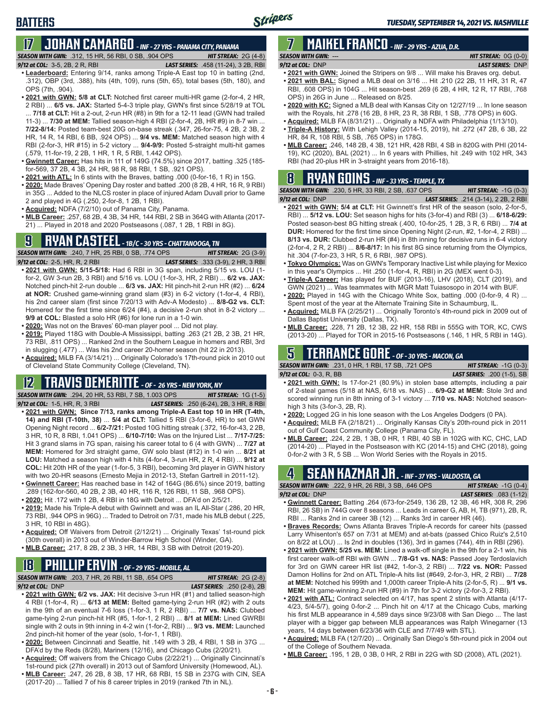# **17 JOHAN CAMARGO** *- INF - 27 YRS - PANAMA CITY, PANAMA*

*SEASON WITH GWN:*.312, 15 HR, 56 RBI, 0 SB, .904 OPS *HIT STREAK:* 2G (4-8)

#### *9/12 at COL:* 3-5, 2B, 2 R, RBI *LAST SERIES:* .458 (11-24), 3 2B, RBI

**BATTERS**

- **• Leaderboard:** Entering 9/14, ranks among Triple-A East top 10 in batting (2nd, .312), OBP (3rd, .388), hits (4th, 109), runs (5th, 65), total bases (5th, 180), and OPS (7th, .904).
- **• 2021 with GWN: 5/8 at CLT:** Notched first career multi-HR game (2-for-4, 2 HR, 2 RBI) ... **6/5 vs. JAX:** Started 5-4-3 triple play, GWN's first since 5/28/19 at TOL ... **7/18 at CLT:** Hit a 2-out, 2-run HR (#8) in 9th for a 12-11 lead (GWN had trailed 11-3) ... **7/30 at MEM:** Tallied season-high 4 RBI (2-for-4, 2B, HR #9) in 8-7 win ... **7/22-8/14:** Posted team-best 20G on-base streak (.347, 26-for-75, 4 2B, 2 3B, 2 HR, 14 R, 14 RBI, 6 BB, .924 OPS) ... **9/4 vs. MEM:** Matched season high with 4 RBI (2-for-3, HR #15) in 5-2 victory ... **9/4-9/9:** Posted 5-straight multi-hit games (.579, 11-for-19, 2 2B, 1 HR, 1 R, 5 RBI, 1.442 OPS).
- **• Gwinnett Career:** Has hits in 111 of 149G (74.5%) since 2017, batting .325 (185 for-569, 37 2B, 4 3B, 24 HR, 98 R, 98 RBI, 1 SB, .921 OPS).
- **• 2021 with ATL:** In 6 stints with the Braves, batting .000 (0-for-16, 1 R) in 15G.
- **• 2020:** Made Braves' Opening Day roster and batted .200 (8 2B, 4 HR, 16 R, 9 RBI) in 35G ... Added to the NLCS roster in place of injured Adam Duvall prior to Game 2 and played in 4G (.250, 2-for-8, 1 2B, 1 RBI).
- **• Acquired:** NDFA (7/2/10) out of Panama City, Panama.
- **• MLB Career:** .257, 68 2B, 4 3B, 34 HR, 144 RBI, 2 SB in 364G with Atlanta (2017- 21) ... Played in 2018 and 2020 Postseasons (.087, 1 2B, 1 RBI in 8G).

# **9 RYAN CASTEEL** *- 1B/C - 30 YRS - CHATTANOOGA, TN*

*SEASON WITH GWN:*.240, 7 HR, 25 RBI, 0 SB, .774 OPS *HIT STREAK:* 2G (3-9) *9/12 at COL:*2-5, HR, R, 2 RBI *LAST SERIES:* .333 (3-9), 2 HR, 3 RBI

- **• 2021 with GWN: 5/15-5/18:** Had 6 RBI in 3G span, including 5/15 vs. LOU (1 for-2, GW 3-run 2B, 3 RBI) and 5/16 vs. LOU (1-for-3, HR, 2 RBI) ... **6/2 vs. JAX:** Notched pinch-hit 2-run double ... **6/3 vs. JAX:** Hit pinch-hit 2-run HR (#2) ... **6/24 at NOR:** Crushed game-winning grand slam (#3) in 6-2 victory (1-for-4, 4 RBI), his 2nd career slam (first since 7/20/13 with Adv-A Modesto) ... **8/8-G2 vs. CLT:** Homered for the first time since 6/24 (#4), a decisive 2-run shot in 8-2 victory ... **9/9 at COL:** Blasted a solo HR (#6) for lone run in a 1-0 win.
- **• 2020:** Was not on the Braves' 60-man player pool ... Did not play.
- **• 2019:** Played 118G with Double-A Mississippi, batting .263 (21 2B, 2 3B, 21 HR, 73 RBI, .811 OPS) ... Ranked 2nd in the Southern League in homers and RBI, 3rd in slugging (.477) ... Was his 2nd career 20-homer season (hit 22 in 2013).
- **• Acquired:** MiLB FA (3/14/21) ... Originally Colorado's 17th-round pick in 2010 out of Cleveland State Community College (Cleveland, TN).

#### **12 TRAVIS DEMERITTE** *- OF - 26 YRS - NEW YORK, NY*

- *SEASON WITH GWN:*.294, 20 HR, 53 RBI, 7 SB, 1.003 OPS *HIT STREAK:* 1G (1-5) *9/12 at COL:*1-5, HR, R, 3 RBI *LAST SERIES:* .250 (6-24), 2B, 3 HR, 8 RBI **• 2021 with GWN: Since 7/13, ranks among Triple-A East top 10 in HR (T-4th, 14) and RBI (T-10th, 38)** ... **5/4 at CLT:** Tallied 5 RBI (3-for-6, HR) to set GWN Opening Night record ... **6/2-7/21:** Posted 10G hitting streak (.372, 16-for-43, 2 2B, 3 HR, 10 R, 8 RBI, 1.041 OPS) ... **6/10-7/10:** Was on the Injured List ... **7/17-7/25:** Hit 3 grand slams in 7G span, raising his career total to 6 (4 with GWN) ... **7/27 at**
- **MEM:** Homered for 3rd straight game, GW solo blast (#12) in 1-0 win ... **8/21 at LOU:** Matched a season high with 4 hits (4-for-4, 3-run HR, 2 R, 4 RBI) ... **9/12 at COL:** Hit 20th HR of the year (1-for-5, 3 RBI), becoming 3rd player in GWN history with two 20-HR seasons (Ernesto Mejia in 2012-13, Stefan Gartrell in 2011-12).
- **• Gwinnett Career:** Has reached base in 142 of 164G (86.6%) since 2019, batting .289 (162-for-560, 40 2B, 2 3B, 40 HR, 116 R, 126 RBI, 11 SB, .968 OPS).
- **• 2020:** Hit .172 with 1 2B, 4 RBI in 18G with Detroit ... DFA'd on 2/5/21.
- **• 2019:** Made his Triple-A debut with Gwinnett and was an IL All-Star (.286, 20 HR, 73 RBI, .944 OPS in 96G) ... Traded to Detroit on 7/31, made his MLB debut (.225, 3 HR, 10 RBI in 48G).
- **• Acquired:** Off Waivers from Detroit (2/12/21) ... Originally Texas' 1st-round pick (30th overall) in 2013 out of Winder-Barrow High School (Winder, GA).
- **• MLB Career:** .217, 8 2B, 2 3B, 3 HR, 14 RBI, 3 SB with Detroit (2019-20).

# **18 PHILLIP ERVIN** *- OF - 29 YRS - MOBILE, AL*

*SEASON WITH GWN:*.203, 7 HR, 26 RBI, 11 SB, .654 OPS *HIT STREAK:* 2G (2-8)

*9/12 at COL:*DNP *LAST SERIES:* .250 (2-8), 2B

- **• 2021 with GWN: 6/2 vs. JAX:** Hit decisive 3-run HR (#1) and tallied season-high 4 RBI (1-for-4, R) ... **6/13 at MEM:** Belted game-tying 2-run HR (#2) with 2 outs in the 9th of an eventual 7-6 loss (1-for-3, 1 R, 2 RBI) ... **7/7 vs. NAS:** Clubbed game-tying 2-run pinch-hit HR (#5, 1-for-1, 2 RBI) ... **8/1 at MEM:** Lined GWRBI single with 2 outs in 9th inning in 4-2 win (1-for-2, RBI) ... **9/3 vs. MEM:** Launched 2nd pinch-hit homer of the year (solo, 1-for-1, 1 RBI).
- **• 2020:** Between Cincinnati and Seattle, hit .149 with 3 2B, 4 RBI, 1 SB in 37G ... DFA'd by the Reds (8/28), Mariners (12/16), and Chicago Cubs (2/20/21).
- **• Acquired:** Off waivers from the Chicago Cubs (2/22/21) ... Originally Cincinnati's 1st-round pick (27th overall) in 2013 out of Samford University (Homewood, AL).
- **• MLB Career:** .247, 26 2B, 8 3B, 17 HR, 68 RBI, 15 SB in 237G with CIN, SEA (2017-20) ... Tallied 7 of his 8 career triples in 2019 (ranked 7th in NL).

#### **7 MAIKEL FRANCO** *- INF - 29 YRS - AZUA, D.R. SEASON WITH GWN:*--- *HIT STREAK:* 0G (0-0)

- *9/12 at COL:*DNP *LAST SERIES:* DNP **• 2021 with GWN:** Joined the Stripers on 9/8 ... Will make his Braves org. debut.
- **• 2021 with BAL:** Signed a MLB deal on 3/16 ... Hit .210 (22 2B, 11 HR, 31 R, 47 RBI, .608 OPS) in 104G ... Hit season-best .269 (6 2B, 4 HR, 12 R, 17 RBI, .768 OPS) in 26G in June ... Released on 8/25.
- **• 2020 with KC:** Signed a MLB deal with Kansas City on 12/27/19 ... In lone season with the Royals, hit .278 (16 2B, 8 HR, 23 R, 38 RBI, 1 SB, .778 OPS) in 60G.
- **• Acquired:** MiLB FA (8/31/21) ... Originally a NDFA with Philadelphia (1/13/10).
- **• Triple-A History:** With Lehigh Valley (2014-15, 2019), hit .272 (47 2B, 6 3B, 22 HR, 84 R, 108 RBI, 5 SB, .765 OPS) in 178G.
- **• MLB Career:** .246, 148 2B, 4 3B, 121 HR, 428 RBI, 4 SB in 820G with PHI (2014- 19), KC (2020), BAL (2021) ... In 6 years with Phillies, hit .249 with 102 HR, 343 RBI (had 20-plus HR in 3-straight years from 2016-18).

### **8 RYAN GOINS** *- INF - 33 YRS - TEMPLE, TX*

*SEASON WITH GWN:*.230, 5 HR, 33 RBI, 2 SB, .637 OPS *HIT STREAK:* -1G (0-3) *9/12 at COL:*DNP *LAST SERIES:* .214 (3-14), 2 2B, 2 RBI

- **• 2021 with GWN: 5/4 at CLT:** Hit Gwinnett's first HR of the season (solo, 2-for-5, RBI) ... **5/12 vs. LOU:** Set season highs for hits (3-for-4) and RBI (3) ... **6/18-6/29:** Posted season-best 8G hitting streak (.400, 10-for-25, 1 2B, 3 R, 6 RBI) ... **7/4 at DUR:** Homered for the first time since Opening Night (2-run, #2, 1-for-4, 2 RBI) ... **8/13 vs. DUR:** Clubbed 2-run HR (#4) in 8th inning for decisive runs in 6-4 victory (2-for-4, 2 R, 2 RBI) ... **8/6-8/17:** In his first 8G since returning from the Olympics, hit .304 (7-for-23, 3 HR, 5 R, 6 RBI, .987 OPS).
- **• Tokyo Olympics:** Was on GWN's Temporary Inactive List while playing for Mexico in this year's Olympics ... Hit .250 (1-for-4, R, RBI) in 2G (MEX went 0-3).
- **• Triple-A Career:** Has played for BUF (2013-16), LHV (2018), CLT (2019), and GWN (2021) ... Was teammates with MGR Matt Tuiasosopo in 2014 with BUF.
- **• 2020:** Played in 14G with the Chicago White Sox, batting .000 (0-for-9, 4 R) ... Spent most of the year at the Alternate Training Site in Schaumburg, IL.
- **• Acquired:** MiLB FA (2/25/21) ... Originally Toronto's 4th-round pick in 2009 out of Dallas Baptist University (Dallas, TX).
- **• MLB Career:** .228, 71 2B, 12 3B, 22 HR, 158 RBI in 555G with TOR, KC, CWS (2013-20) ... Played for TOR in 2015-16 Postseasons (.146, 1 HR, 5 RBI in 14G).

### **5 TERRANCE GORE** *- OF - 30 YRS - MACON, GA*

*SEASON WITH GWN:*.231, 0 HR, 1 RBI, 17 SB, .721 OPS *HIT STREAK:* -1G (0-3) *9/12 at COL:*0-3, R, BB *LAST SERIES:* .200 (1-5), SB

- **• 2021 with GWN:** Is 17-for-21 (80.9%) in stolen base attempts, including a pair of 2-steal games (5/18 at NAS, 6/18 vs. NAS) ... **6/9-G2 at MEM:** Stole 3rd and scored winning run in 8th inning of 3-1 victory ... **7/10 vs. NAS:** Notched seasonhigh 3 hits (3-for-3, 2B, R).
- **• 2020:** Logged 2G in his lone season with the Los Angeles Dodgers (0 PA).
- **• Acquired:** MiLB FA (2/18/21) ... Originally Kansas City's 20th-round pick in 2011 out of Gulf Coast Community College (Panama City, FL).
- **• MLB Career:** .224, 2 2B, 1 3B, 0 HR, 1 RBI, 40 SB in 102G with KC, CHC, LAD (2014-20) ... Played in the Postseason with KC (2014-15) and CHC (2018), going 0-for-2 with 3 R, 5 SB ... Won World Series with the Royals in 2015.

# **4 SEAN KAZMAR JR.** *- INF - 37 YRS - VALDOSTA, GA*

| <b>SEASON WITH GWN: .222. 9 HR. 26 RBI. 3 SB. .646 OPS</b> |  |  | <b>HIT STREAK:</b> $-1G(0-4)$   |  |
|------------------------------------------------------------|--|--|---------------------------------|--|
| $9/12$ at COL: DNP                                         |  |  | <b>LAST SERIES:</b> .083 (1-12) |  |
|                                                            |  |  |                                 |  |

- **• Gwinnett Career:** Batting .264 (673-for-2549, 136 2B, 12 3B, 46 HR, 308 R, 296 RBI, 26 SB) in 744G over 8 seasons ... Leads in career G, AB, H, TB (971), 2B, R, RBI ... Ranks 2nd in career 3B (12) ... Ranks 3rd in career HR (46).
- **• Braves Records:** Owns Atlanta Braves Triple-A records for career hits (passed Larry Whisenton's 657 on 7/31 at MEM) and at-bats (passed Chico Ruiz's 2,510 on 8/22 at LOU) ... Is 2nd in doubles (136), 3rd in games (744), 4th in RBI (296).
- **• 2021 with GWN: 5/25 vs. MEM:** Lined a walk-off single in the 9th for a 2-1 win, his first career walk-off RBI with GWN ... **7/8-G1 vs. NAS:** Passed Joey Terdoslavich for 3rd on GWN career HR list (#42, 1-for-3, 2 RBI) ... **7/22 vs. NOR:** Passed Damon Hollins for 2nd on ATL Triple-A hits list (#649, 2-for-3, HR, 2 RBI) ... **7/28 at MEM:** Notched his 999th and 1,000th career Triple-A hits (2-for-5, R) ... **9/1 vs. MEM:** Hit game-winning 2-run HR (#9) in 7th for 3-2 victory (2-for-3, 2 RBI).
- **• 2021 with ATL:** Contract selected on 4/17, has spent 2 stints with Atlanta (4/17- 4/23, 5/4-5/7), going 0-for-2 ... Pinch hit on 4/17 at the Chicago Cubs, marking his first MLB appearance in 4,589 days since 9/23/08 with San Diego ... The last player with a bigger gap between MLB appearances was Ralph Winegarner (13 years, 14 days between 6/23/36 with CLE and 7/7/49 with STL).
- **• Acquired:** MiLB FA (12/7/20) ... Originally San Diego's 5th-round pick in 2004 out of the College of Southern Nevada.
- **• MLB Career:** .195, 1 2B, 0 3B, 0 HR, 2 RBI in 22G with SD (2008), ATL (2021).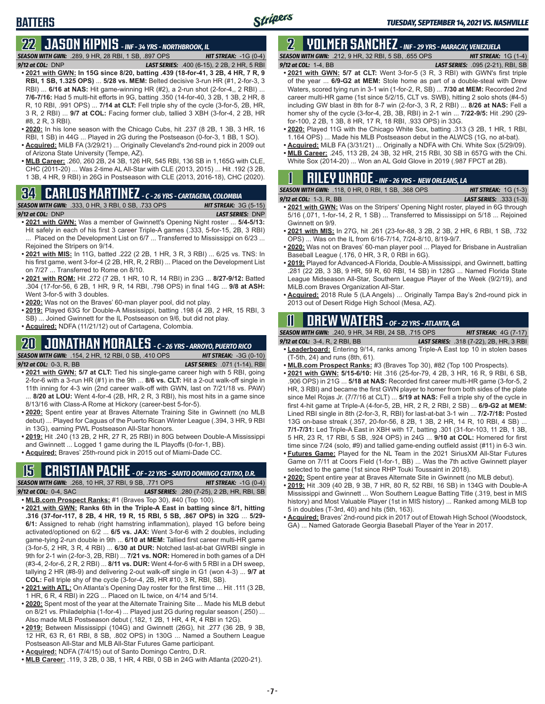### **BATTERS**

# **22 JASON KIPNIS** *- INF - 34 YRS - NORTHBROOK, IL*

*SEASON WITH GWN:*.289, 9 HR, 28 RBI, 1 SB, .897 OPS *HIT STREAK:* -1G (0-4) *9/12 at COL:*DNP *LAST SERIES:* .400 (6-15), 2 2B, 2 HR, 5 RBI

- **• 2021 with GWN: In 15G since 8/20, batting .439 (18-for-41, 3 2B, 4 HR, 7 R, 9 RBI, 1 SB, 1.325 OPS)** ... **5/28 vs. MEM:** Belted decisive 3-run HR (#1, 2-for-3, 3 RBI) ... **6/16 at NAS:** Hit game-winning HR (#2), a 2-run shot (2-for-4,, 2 RBI) ... **7/6-7/16:** Had 5 multi-hit efforts in 9G, batting .350 (14-for-40, 3 2B, 1 3B, 2 HR, 8 R, 10 RBI, .991 OPS) ... **7/14 at CLT:** Fell triple shy of the cycle (3-for-5, 2B, HR, 3 R, 2 RBI) ... **9/7 at COL:** Facing former club, tallied 3 XBH (3-for-4, 2 2B, HR #8, 2 R, 3 RBI).
- **• 2020:** In his lone season with the Chicago Cubs, hit .237 (8 2B, 1 3B, 3 HR, 16 RBI, 1 SB) in 44G ... Played in 2G during the Postseason (0-for-3, 1 BB, 1 SO).
- **• Acquired:** MiLB FA (3/29/21) ... Originally Cleveland's 2nd-round pick in 2009 out of Arizona State University (Tempe, AZ).
- **• MLB Career:** .260, 260 2B, 24 3B, 126 HR, 545 RBI, 136 SB in 1,165G with CLE, CHC (2011-20) ... Was 2-time AL All-Star with CLE (2013, 2015) ... Hit .192 (3 2B, 1 3B, 4 HR, 9 RBI) in 26G in Postseason with CLE (2013, 2016-18), CHC (2020).

# **34 CARLOS MARTINEZ** *- C - 26 YRS - CARTAGENA, COLOMBIA*



- Hit safely in each of his first 3 career Triple-A games (.333, 5-for-15, 2B, 3 RBI) ... Placed on the Development List on 6/7 ... Transferred to Mississippi on 6/23 ... Rejoined the Stripers on 9/14.
- **• 2021 with MIS:** In 11G, batted .222 (2 2B, 1 HR, 3 R, 3 RBI) ... 6/25 vs. TNS: In his first game, went 3-for-4 (2 2B, HR, R, 2 RBI) ... Placed on the Development List on 7/27 ... Transferred to Rome on 8/10.
- **• 2021 with ROM:** Hit .272 (7 2B, 1 HR, 10 R, 14 RBI) in 23G ... **8/27-9/12:** Batted .304 (17-for-56, 6 2B, 1 HR, 9 R, 14 RBI, .798 OPS) in final 14G ... **9/8 at ASH:** Went 3-for-5 with 3 doubles.
- **• 2020:** Was not on the Braves' 60-man player pool, did not play.
- **• 2019:** Played 63G for Double-A Mississippi, batting .198 (4 2B, 2 HR, 15 RBI, 3 SB) ... Joined Gwinnett for the IL Postseason on 9/6, but did not play.
- **• Acquired:** NDFA (11/21/12) out of Cartagena, Colombia.

### **20 JONATHAN MORALES** *- C - 26 YRS - ARROYO, PUERTO RICO*

*SEASON WITH GWN:*.154, 2 HR, 12 RBI, 0 SB, .410 OPS *HIT STREAK:* -3G (0-10) *9/12 at COL:*0-3, R, BB *LAST SERIES:* .071 (1-14), RBI

- **• 2021 with GWN: 5/7 at CLT:** Tied his single-game career high with 5 RBI, going 2-for-6 with a 3-run HR (#1) in the 9th ... **8/6 vs. CLT:** Hit a 2-out walk-off single in 11th inning for 4-3 win (2nd career walk-off with GWN, last on 7/21/18 vs. PAW) ... **8/20 at LOU:** Went 4-for-4 (2B, HR, 2 R, 3 RBI), his most hits in a game since 8/13/16 with Class-A Rome at Hickory (career-best 5-for-5).
- **• 2020:** Spent entire year at Braves Alternate Training Site in Gwinnett (no MLB debut) ... Played for Caguas of the Puerto Rican Winter League (.394, 3 HR, 9 RBI in 13G), earning PWL Postseason All-Star honors.
- **• 2019:** Hit .240 (13 2B, 2 HR, 27 R, 25 RBI) in 80G between Double-A Mississippi and Gwinnett ... Logged 1 game during the IL Playoffs (0-for-1, BB).
- **• Acquired:** Braves' 25th-round pick in 2015 out of Miami-Dade CC.

# **15 CRISTIAN PACHE** *- OF - 22 YRS - SANTO DOMINGO CENTRO, D.R.*

*SEASON WITH GWN:*.268, 10 HR, 37 RBI, 9 SB, .771 OPS *HIT STREAK:* -1G (0-4) *9/12 at COL:* 0-4, SAC *LAST SERIES:* .280 (7-25), 2 2B, HR, RBI, SB

- **• MLB.com Prospect Ranks:** #1 (Braves Top 30), #40 (Top 100).
- **• 2021 with GWN: Ranks 6th in the Triple-A East in batting since 8/1, hitting .316 (37-for-117, 8 2B, 4 HR, 19 R, 15 RBI, 5 SB, .867 OPS) in 32G** ... **5/29- 6/1:** Assigned to rehab (right hamstring inflammation), played 1G before being activated/optioned on 6/2 ... **6/5 vs. JAX:** Went 3-for-6 with 2 doubles, including game-tying 2-run double in 9th ... **6/10 at MEM:** Tallied first career multi-HR game (3-for-5, 2 HR, 3 R, 4 RBI) ... **6/30 at DUR:** Notched last-at-bat GWRBI single in 9th for 2-1 win (2-for-3, 2B, RBI) ... **7/21 vs. NOR:** Homered in both games of a DH (#3-4, 2-for-6, 2 R, 2 RBI) ... **8/11 vs. DUR:** Went 4-for-6 with 5 RBI in a DH sweep, tallying 2 HR (#8-9) and delivering 2-out walk-off single in G1 (won 4-3) ... **9/7 at COL:** Fell triple shy of the cycle (3-for-4, 2B, HR #10, 3 R, RBI, SB).
- **• 2021 with ATL:** On Atlanta's Opening Day roster for the first time ... Hit .111 (3 2B, 1 HR, 6 R, 4 RBI) in 22G ... Placed on IL twice, on 4/14 and 5/14.
- **• 2020:** Spent most of the year at the Alternate Training Site ... Made his MLB debut on 8/21 vs. Philadelphia (1-for-4) ... Played just 2G during regular season (.250) ... Also made MLB Postseason debut (.182, 1 2B, 1 HR, 4 R, 4 RBI in 12G).
- **• 2019:** Between Mississippi (104G) and Gwinnett (26G), hit .277 (36 2B, 9 3B, 12 HR, 63 R, 61 RBI, 8 SB, .802 OPS) in 130G ... Named a Southern League Postseason All-Star and MLB All-Star Futures Game participant.
- **• Acquired:** NDFA (7/4/15) out of Santo Domingo Centro, D.R.
- **• MLB Career:** .119, 3 2B, 0 3B, 1 HR, 4 RBI, 0 SB in 24G with Atlanta (2020-21).

#### **2 YOLMER SANCHEZ** *- INF - 29 YRS - MARACAY, VENEZUELA SEASON WITH GWN:*.212, 9 HR, 32 RBI, 5 SB, .655 OPS *HIT STREAK:* 1G (1-4)

*9/12 at COL:*1-4, BB *LAST SERIES:* .095 (2-21), RBI, SB

- **• 2021 with GWN: 5/7 at CLT:** Went 3-for-5 (3 R, 3 RBI) with GWN's first triple of the year ... **6/9-G2 at MEM:** Stole home as part of a double-steal with Drew Waters, scored tying run in 3-1 win (1-for-2, R, SB) ... **7/30 at MEM:** Recorded 2nd career multi-HR game (1st since 5/2/15, CLT vs. SWB), hitting 2 solo shots (#4-5) including GW blast in 8th for 8-7 win (2-for-3, 3 R, 2 RBI) ... **8/26 at NAS:** Fell a homer shy of the cycle (3-for-4, 2B, 3B, RBI) in 2-1 win ... **7/22-9/5:** Hit .290 (29 for-100, 2 2B, 1 3B, 8 HR, 17 R, 18 RBI, .933 OPS) in 33G.
- **• 2020:** Played 11G with the Chicago White Sox, batting .313 (3 2B, 1 HR, 1 RBI, 1.164 OPS) ... Made his MLB Postseason debut in the ALWCS (1G, no at-bat).
- **• Acquired:** MiLB FA (3/31/21) ... Originally a NDFA with Chi. White Sox (5/29/09). **• MLB Career:** .245, 113 2B, 24 3B, 32 HR, 215 RBI, 30 SB in 657G with the Chi. White Sox (2014-20) ... Won an AL Gold Glove in 2019 (.987 FPCT at 2B).

|  | <b>RILEY UNROE</b> - INF - 26 YRS - NEW ORLEANS, LA         |  |                              |  |
|--|-------------------------------------------------------------|--|------------------------------|--|
|  | <b>SEASON WITH GWN:</b> .118. 0 HR. 0 RBI. 1 SB. .368 OPS . |  | <b>HIT STREAK:</b> $1G(1-3)$ |  |

| 9/12 at COL: $1-3$ , R, BB |                                                                                  | <b>LAST SERIES:</b> .333 (1-3) |  |
|----------------------------|----------------------------------------------------------------------------------|--------------------------------|--|
|                            | • 2021 with GWN: Was on the Stripers' Opening Night roster, played in 6G through |                                |  |

- 5/16 (.071, 1-for-14, 2 R, 1 SB) ... Transferred to Mississippi on 5/18 ... Rejoined Gwinnett on 9/9.
- **• 2021 with MIS:** In 27G, hit .261 (23-for-88, 3 2B, 2 3B, 2 HR, 6 RBI, 1 SB, .732 OPS) ... Was on the IL from 6/16-7/14, 7/24-8/10, 8/19-9/7.
- **• 2020:** Was not on Braves' 60-man player pool ... Played for Brisbane in Australian Baseball League (.176, 0 HR, 3 R, 0 RBI in 6G).
- **• 2019:** Played for Advanced-A Florida, Double-A Mississippi, and Gwinnett, batting .281 (22 2B, 3 3B, 9 HR, 59 R, 60 RBI, 14 SB) in 128G ... Named Florida State League Midseason All-Star, Southern League Player of the Week (9/2/19), and MiLB.com Braves Organization All-Star.
- **• Acquired:** 2018 Rule 5 (LA Angels) ... Originally Tampa Bay's 2nd-round pick in 2013 out of Desert Ridge High School (Mesa, AZ).

# **11 Drew WATERS** *- OF - 22 YRS - ATLANTA, GA*

*SEASON WITH GWN:*.240, 9 HR, 34 RBI, 24 SB, .715 OPS *HIT STREAK:* 4G (7-17)

- *9/12 at COL:*3-4, R, 2 RBI, BB *LAST SERIES:* .318 (7-22), 2B, HR, 3 RBI **• Leaderboard:** Entering 9/14, ranks among Triple-A East top 10 in stolen bases (T-5th, 24) and runs (8th, 61).
- **• MLB.com Prospect Ranks:** #3 (Braves Top 30), #82 (Top 100 Prospects).
- **• 2021 with GWN: 5/15-6/10:** Hit .316 (25-for-79, 4 2B, 3 HR, 16 R, 9 RBI, 6 SB, .906 OPS) in 21G ... **5/18 at NAS:** Recorded first career multi-HR game (3-for-5, 2
- HR, 3 RBI) and became the first GWN player to homer from both sides of the plate since Mel Rojas Jr. (7/7/16 at CLT) ... **5/19 at NAS:** Fell a triple shy of the cycle in first 4-hit game at Triple-A (4-for-5, 2B, HR, 2 R, 2 RBI, 2 SB) ... **6/9-G2 at MEM:** Lined RBI single in 8th (2-for-3, R, RBI) for last-at-bat 3-1 win ... **7/2-7/18:** Posted 13G on-base streak (.357, 20-for-56, 8 2B, 1 3B, 2 HR, 14 R, 10 RBI, 4 SB) ... **7/1-7/31:** Led Triple-A East in XBH with 17, batting .301 (31-for-103, 11 2B, 1 3B, 5 HR, 23 R, 17 RBI, 5 SB, .924 OPS) in 24G ... **9/10 at COL:** Homered for first time since 7/24 (solo, #9) and tallied game-ending outfield assist (#11) in 6-3 win.
- **• Futures Game:** Played for the NL Team in the 2021 SiriusXM All-Star Futures Game on 7/11 at Coors Field (1-for-1, BB) ... Was the 7th active Gwinnett player selected to the game (1st since RHP Touki Toussaint in 2018).
- **• 2020:** Spent entire year at Braves Alternate Site in Gwinnett (no MLB debut).
- **• 2019:** Hit .309 (40 2B, 9 3B, 7 HR, 80 R, 52 RBI, 16 SB) in 134G with Double-A Mississippi and Gwinnett ... Won Southern League Batting Title (.319, best in MIS history) and Most Valuable Player (1st in MIS history) ... Ranked among MiLB top 5 in doubles (T-3rd, 40) and hits (5th, 163).
- **• Acquired:** Braves' 2nd-round pick in 2017 out of Etowah High School (Woodstock, GA) ... Named Gatorade Georgia Baseball Player of the Year in 2017.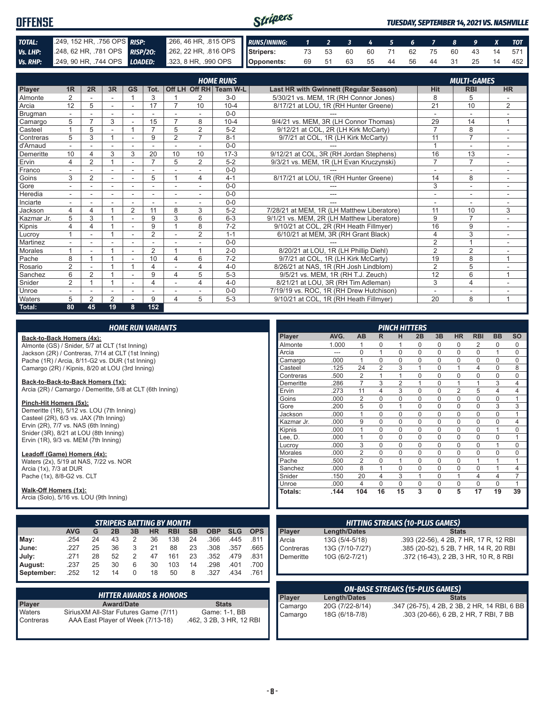| <b>OFFENSE</b> |  |                                                                                              | Stripers |  |  |  |  |  | <b>TUESDAY, SEPTEMBER 14, 2021 VS. NASHVILLE</b> |
|----------------|--|----------------------------------------------------------------------------------------------|----------|--|--|--|--|--|--------------------------------------------------|
| TOTAL:         |  | 2009, 152 HR, 756 OPS RISP: 266, 46 HR, 815 OPS RUNS/INNING: 1 2 3 4 5 6 7 8 9 X TOT         |          |  |  |  |  |  |                                                  |
| Vs. LHP:       |  | 248, 62 HR, 781 OPS RISP/20: 262, 22 HR, 816 OPS Stripers: 73 53 60 60 71 62 75 60 43 14 571 |          |  |  |  |  |  |                                                  |
|                |  | Vs. RHP: 249, 90 HR, 744 OPS LOADED: 323, 8 HR, 990 OPS Opponents:                           |          |  |  |  |  |  | 69 51 63 55 44 56 44 31 25 14 452                |

|                |                |                |        |                |                |                          |                          | <b>HOME RUNS</b>       |                                               |                | <b>MULTI-GAMES</b> |                |
|----------------|----------------|----------------|--------|----------------|----------------|--------------------------|--------------------------|------------------------|-----------------------------------------------|----------------|--------------------|----------------|
| Player         | 1 <sub>R</sub> | 2R             | 3R     | <b>GS</b>      | Tot.           |                          |                          | Off LH Off RH Team W-L | <b>Last HR with Gwinnett (Regular Season)</b> | Hit            | <b>RBI</b>         | <b>HR</b>      |
| Almonte        | $\overline{2}$ |                |        |                | 3              |                          | 2                        | $3-0$                  | 5/30/21 vs. MEM. 1R (RH Connor Jones)         | 8              | 5                  |                |
| Arcia          | 12             | 5              |        | $\blacksquare$ | 17             |                          | 10                       | $10 - 4$               | 8/17/21 at LOU, 1R (RH Hunter Greene)         | 21             | 10                 | $\overline{2}$ |
| <b>Brugman</b> |                |                |        |                |                |                          |                          | $0 - 0$                |                                               |                |                    |                |
| Camargo        | 5              |                | 3      |                | 15             |                          | 8                        | $10 - 4$               | 9/4/21 vs. MEM, 3R (LH Connor Thomas)<br>29   |                | 14                 | $\overline{A}$ |
| Casteel        |                | 5              |        |                | $\overline{ }$ | 5                        | $\overline{2}$           | $5 - 2$                | 9/12/21 at COL, 2R (LH Kirk McCarty)          | $\overline{7}$ | 8                  |                |
| Contreras      | 5              | 3              |        |                | 9              | $\overline{2}$           | $\overline{7}$           | $8 - 1$                | 9/7/21 at COL, 1R (LH Kirk McCarty)           | 11             | $\overline{7}$     |                |
| d'Arnaud       |                |                |        |                |                |                          |                          | $0 - 0$                |                                               | $\overline{ }$ | ٠                  |                |
| Demeritte      | 10             | 4              | 3      | 3              | 20             | 10                       | 10                       | $17-3$                 | 9/12/21 at COL, 3R (RH Jordan Stephens)       | 16             | 13                 | $\sim$         |
| Ervin          | 4              | $\overline{2}$ |        | ۳              | $\overline{ }$ | 5                        | $\overline{2}$           | $5 - 2$                | 9/3/21 vs. MEM, 1R (LH Evan Kruczynski)       | $\overline{7}$ | $\overline{7}$     |                |
| Franco         | ٠              |                | $\sim$ | ٠              |                |                          | $\overline{\phantom{a}}$ | $0 - 0$                |                                               | ٠              | ۰                  | $\sim$         |
| Goins          | 3              | $\overline{2}$ |        |                | 5              |                          | 4                        | $4 - 1$                | 8/17/21 at LOU, 1R (RH Hunter Greene)         | 14             | 8                  |                |
| Gore           |                |                |        |                |                |                          | -                        | $0 - 0$                | ---                                           | 3              | ÷.                 | $\sim$         |
| Heredia        | $\sim$         |                |        |                |                | ۰                        | <u>. .</u>               | $0 - 0$                | ---                                           | ٠              | ÷                  |                |
| Inciarte       | ٠              |                |        | ä,             |                | $\overline{\phantom{a}}$ | -                        | $0 - 0$                |                                               |                | ٠                  | $\sim$         |
| Jackson        | 4              | 4              |        | $\overline{2}$ | 11             | 8                        | 3                        | $5 - 2$                | 7/28/21 at MEM, 1R (LH Matthew Liberatore)    | 11             | 10                 | 3              |
| Kazmar Jr.     | 5              | 3              |        | ٠              | 9              | 3                        | 6                        | $6 - 3$                | 9/1/21 vs. MEM, 2R (LH Matthew Liberatore)    | 9              | $\overline{7}$     | $\sim$         |
| Kipnis         | 4              | 4              |        |                | 9              |                          | 8                        | $7 - 2$                | 9/10/21 at COL, 2R (RH Heath Fillmyer)        | 16             | 9                  |                |
| Lucrov         |                |                |        | ٠              | $\overline{2}$ |                          | $\overline{2}$           | $1 - 1$                | 6/10/21 at MEM, 3R (RH Grant Black)           | $\overline{4}$ | 3                  | ٠              |
| Martinez       |                |                |        |                |                |                          |                          | $0 - 0$                |                                               | 2              | $\overline{1}$     |                |
| <b>Morales</b> |                |                |        | ٠              | 2              |                          | 4                        | $2 - 0$                | 8/20/21 at LOU, 1R (LH Phillip Diehl)         | $\overline{2}$ | 2                  |                |
| Pache          | 8              |                |        |                | 10             | $\overline{4}$           | 6                        | $7 - 2$                | 9/7/21 at COL, 1R (LH Kirk McCarty)           | 19             | 8                  | $\overline{A}$ |
| Rosario        | $\overline{2}$ |                |        |                | $\overline{4}$ |                          | 4                        | $4 - 0$                | 8/26/21 at NAS, 1R (RH Josh Lindblom)         | 2              | 5                  |                |
| Sanchez        | 6              | $\overline{2}$ |        |                | 9              | $\overline{\mathbf{4}}$  | 5                        | $5 - 3$                | 9/5/21 vs. MEM, 1R (RH T.J. Zeuch)            | 12             | 6                  | 1              |
| Snider         | 2              |                |        | ۰              |                |                          | 4                        | $4 - 0$                | 8/21/21 at LOU, 3R (RH Tim Adleman)           | 3              | $\overline{4}$     |                |
| Unroe          |                |                |        |                |                |                          |                          | $0 - 0$                | 7/19/19 vs. ROC. 1R (RH Drew Hutchison)       | ٠              | ۰                  |                |
| Waters         | 5              | $\overline{2}$ | 2      |                | 9              | 4                        | 5                        | $5-3$                  | 9/10/21 at COL, 1R (RH Heath Fillmyer)        | 20             | 8                  | 1              |
| Total:         | 80             | 45             | 19     | 8              | 152            |                          |                          |                        |                                               |                |                    |                |

|                                                                  |                                                               |    |                   |                | <b>HOME RUN VARIANTS</b> |                                  |           |              |                 |            |                |                     |                                        |                | <b>PINCH HITTERS</b> |                                              |              |                                       |                                        |                |                |
|------------------------------------------------------------------|---------------------------------------------------------------|----|-------------------|----------------|--------------------------|----------------------------------|-----------|--------------|-----------------|------------|----------------|---------------------|----------------------------------------|----------------|----------------------|----------------------------------------------|--------------|---------------------------------------|----------------------------------------|----------------|----------------|
| Back-to-Back Homers (4x):                                        |                                                               |    |                   |                |                          |                                  |           |              |                 |            | Player         | AVG.                | AB                                     | R              | н                    | 2B                                           | 3B           | <b>HR</b>                             | <b>RBI</b>                             | <b>BB</b>      | <b>SO</b>      |
| Almonte (GS) / Snider, 5/7 at CLT (1st Inning)                   |                                                               |    |                   |                |                          |                                  |           |              |                 |            | Almonte        | 1.000               | $\mathbf{1}$                           | 0              | 1                    | 0                                            | 0            | 0                                     | 2                                      | 0              | 0              |
| Jackson (2R) / Contreras, 7/14 at CLT (1st Inning)               |                                                               |    |                   |                |                          |                                  |           |              |                 |            | Arcia          | ---                 | $\mathbf 0$                            | $\mathbf{1}$   | $\mathbf 0$          | $\mathbf 0$                                  | $\pmb{0}$    | $\mathbf 0$                           | $\mathbf 0$                            | $\mathbf{1}$   | 0              |
| Pache (1R) / Arcia, 8/11-G2 vs. DUR (1st Inning)                 |                                                               |    |                   |                |                          |                                  |           |              |                 |            | Camargo        | .000                | $\mathbf{1}$                           | $\mathbf 0$    | $\mathbf 0$          | $\mathbf 0$                                  | $\mathsf 0$  | $\mathbf 0$                           | $\mathbf 0$                            | $\mathbf 0$    | 0              |
| Camargo (2R) / Kipnis, 8/20 at LOU (3rd Inning)                  |                                                               |    |                   |                |                          |                                  |           |              |                 |            | Casteel        | .125                | 24                                     | $\overline{2}$ | 3                    | $\mathbf{1}$                                 | $\mathsf 0$  | $\mathbf{1}$                          | $\overline{4}$                         | $\mathbf 0$    | 8              |
|                                                                  |                                                               |    |                   |                |                          |                                  |           |              |                 |            | Contreras      | .500                | 2                                      | $\mathbf{1}$   | $\mathbf{1}$         | $\mathbf 0$                                  | $\mathbf 0$  | $\mathbf 0$                           | $\mathbf 0$                            | $\mathbf 0$    | 0              |
| Back-to-Back-to-Back Homers (1x):                                |                                                               |    |                   |                |                          |                                  |           |              |                 |            | Demeritte      | .286                | $\overline{7}$                         | 3              | $\mathbf{2}$         | $\mathbf{1}$                                 | $\mathsf 0$  | $\mathbf{1}$                          | $\mathbf{1}$                           | 3              | $\overline{4}$ |
| Arcia (2R) / Camargo / Demeritte, 5/8 at CLT (6th Inning)        |                                                               |    |                   |                |                          |                                  |           |              |                 |            | Ervin          | .273                | 11                                     | 4              | 3                    | 0                                            | 0            | $\overline{2}$                        | 5                                      | $\overline{4}$ | 4              |
| Pinch-Hit Homers (5x):                                           |                                                               |    |                   |                |                          |                                  |           |              |                 |            | Goins          | .000                | 2                                      | $\mathbf 0$    | 0                    | $\mathbf 0$                                  | 0            | $\mathbf 0$                           | $\mathbf 0$                            | $\mathbf 0$    | $\mathbf{1}$   |
| Demeritte (1R), 5/12 vs. LOU (7th Inning)                        |                                                               |    |                   |                |                          |                                  |           |              |                 |            | Gore           | .200                | 5                                      | $\mathbf 0$    | $\mathbf{1}$         | $\mathbf 0$                                  | $\mathbf 0$  | $\mathbf 0$                           | $\mathbf 0$                            | 3              | 3              |
| Casteel (2R), 6/3 vs. JAX (7th Inning)                           |                                                               |    |                   |                |                          |                                  |           |              |                 |            | Jackson        | .000                | $\mathbf{1}$                           | $\Omega$       | $\Omega$             | $\Omega$                                     | $\mathbf 0$  | $\Omega$                              | $\Omega$                               | $\Omega$       | $\mathbf{1}$   |
| Ervin (2R), 7/7 vs. NAS (6th Inning)                             |                                                               |    |                   |                |                          |                                  |           |              |                 |            | Kazmar Jr.     | .000                | 9                                      | $\mathbf 0$    | $\mathbf 0$          | 0                                            | $\mathsf 0$  | $\mathbf 0$                           | 0                                      | $\mathbf 0$    | 4              |
| Snider (3R), 8/21 at LOU (8th Inning)                            |                                                               |    |                   |                |                          |                                  |           |              |                 |            | Kipnis         | .000                | $\mathbf{1}$                           | $\mathbf 0$    | $\mathbf 0$          | $\mathbf 0$                                  | $\mathbf 0$  | $\mathbf 0$                           | $\mathbf 0$                            | $\mathbf{1}$   | 0              |
| Ervin (1R), 9/3 vs. MEM (7th Inning)                             |                                                               |    |                   |                |                          |                                  |           |              |                 |            | Lee. D.        | .000                | $\mathbf{1}$                           | $\mathbf 0$    | $\mathbf 0$          | $\mathbf 0$                                  | $\mathbf 0$  | $\mathbf 0$                           | $\mathbf 0$                            | $\mathbf 0$    | $\mathbf{1}$   |
|                                                                  |                                                               |    |                   |                |                          |                                  |           |              |                 |            | Lucroy         | .000                | 3                                      | $\Omega$       | $\mathbf 0$          | $\mathbf 0$                                  | $\mathsf 0$  | $\mathbf 0$                           | $\mathbf 0$                            | $\mathbf{1}$   | 0              |
|                                                                  | Leadoff (Game) Homers (4x):                                   |    |                   |                |                          |                                  |           |              |                 | Morales    | .000           | $\overline{2}$      | $\Omega$                               | $\mathbf 0$    | $\Omega$             | $\mathsf 0$                                  | $\mathbf 0$  | $\mathbf 0$                           | $\Omega$                               | $\Omega$       |                |
|                                                                  | Waters (2x), 5/19 at NAS, 7/22 vs. NOR                        |    |                   |                |                          |                                  |           |              |                 |            | Pache          | .500                | $\overline{2}$                         | $\mathbf 0$    | $\mathbf{1}$         | $\mathbf 0$                                  | $\mathbf 0$  | $\mathbf 0$                           | $\mathbf{1}$                           | $\mathbf{1}$   | $\mathbf{1}$   |
| Arcia (1x), 7/3 at DUR                                           |                                                               |    |                   |                |                          |                                  |           |              |                 |            | Sanchez        | .000                | 8                                      | $\overline{1}$ | $\mathbf 0$          | $\mathbf 0$                                  | $\mathbf 0$  | $\mathbf 0$                           | $\mathbf 0$                            | $\mathbf{1}$   | $\overline{4}$ |
| Pache (1x), 8/8-G2 vs. CLT                                       |                                                               |    |                   |                |                          |                                  |           |              |                 |            | Snider         | .150                | 20                                     | $\overline{4}$ | 3                    | $\mathbf{1}$                                 | $\mathbf 0$  | $\mathbf{1}$                          | $\overline{4}$                         | $\overline{4}$ | $\overline{7}$ |
|                                                                  |                                                               |    |                   |                |                          |                                  |           |              |                 |            | Unroe          | .000                | $\overline{4}$                         | $\mathbf 0$    | 0                    | 0                                            | $\mathsf 0$  | $\mathbf 0$                           | 0                                      | $\mathbf 0$    | $\mathbf{1}$   |
| Walk-Off Homers (1x):<br>Arcia (Solo), 5/16 vs. LOU (9th Inning) |                                                               |    |                   |                |                          |                                  |           |              |                 |            | Totals:        | .144                | 104                                    | 16             | 15                   | 3                                            | $\mathbf{0}$ | 5                                     | $\overline{17}$                        | 19             | 39             |
|                                                                  |                                                               |    |                   |                |                          |                                  |           |              |                 |            |                |                     |                                        |                |                      |                                              |              |                                       |                                        |                |                |
|                                                                  |                                                               |    |                   |                |                          | <b>STRIPERS BATTING BY MONTH</b> |           |              |                 |            |                |                     | <b>HITTING STREAKS (10-PLUS GAMES)</b> |                |                      |                                              |              |                                       |                                        |                |                |
|                                                                  |                                                               |    |                   |                |                          |                                  |           |              |                 |            |                |                     |                                        |                |                      |                                              |              |                                       |                                        |                |                |
|                                                                  | <b>AVG</b>                                                    | G  | 2B                | 3B             | <b>HR</b>                | <b>RBI</b>                       | <b>SB</b> | <b>OBP</b>   | <b>SLG</b>      | <b>OPS</b> | Player         | <b>Length/Dates</b> |                                        |                |                      |                                              |              | <b>Stats</b>                          |                                        |                |                |
| May:                                                             | .254                                                          | 24 | 43                | 2              | 36                       | 138                              | 24        | .366         | .445            | .811       | Arcia          | 13G (5/4-5/18)      |                                        |                |                      |                                              |              |                                       | .393 (22-56), 4 2B, 7 HR, 17 R, 12 RBI |                |                |
| June:                                                            | .227                                                          | 25 | 36                | 3              | 21                       | 88                               | 23        | .308         | .357            | .665       | Contreras      | 13G (7/10-7/27)     |                                        |                |                      |                                              |              |                                       | .385 (20-52), 5 2B, 7 HR, 14 R, 20 RBI |                |                |
| July:                                                            | .271                                                          | 28 | 52                | $\overline{2}$ | 47                       | 161                              | 23        | .352         | .479            | .831       | Demeritte      | 10G (6/2-7/21)      |                                        |                |                      |                                              |              |                                       | .372 (16-43), 2 2B, 3 HR, 10 R, 8 RBI  |                |                |
| August:                                                          | .237                                                          | 25 | 30                | 6              | 30                       | 103                              | 14        | .298         | .401            | .700       |                |                     |                                        |                |                      |                                              |              |                                       |                                        |                |                |
| September:                                                       | .252                                                          | 12 | 14                | $\Omega$       | 18                       | 50                               | 8         | .327         | .434            | .761       |                |                     |                                        |                |                      |                                              |              |                                       |                                        |                |                |
|                                                                  |                                                               |    |                   |                |                          |                                  |           |              |                 |            |                |                     |                                        |                |                      |                                              |              |                                       |                                        |                |                |
|                                                                  | <b>HITTER AWARDS &amp; HONORS</b>                             |    |                   |                |                          |                                  |           |              |                 |            | Player         | <b>Length/Dates</b> | <b>ON-BASE STREAKS (15-PLUS GAMES)</b> |                |                      |                                              |              | <b>Stats</b>                          |                                        |                |                |
| Player                                                           |                                                               |    | <b>Award/Date</b> |                |                          |                                  |           | <b>Stats</b> |                 |            |                |                     |                                        |                |                      |                                              |              |                                       |                                        |                |                |
| Waters                                                           | SiriusXM All-Star Futures Game (7/11)<br>Game: 1-1, BB        |    |                   |                |                          |                                  |           | Camargo      | 20G (7/22-8/14) |            |                |                     |                                        |                |                      | .347 (26-75), 4 2B, 2 3B, 2 HR, 14 RBI, 6 BB |              |                                       |                                        |                |                |
| Contreras                                                        | AAA East Plaver of Week (7/13-18)<br>.462, 3 2B, 3 HR, 12 RBI |    |                   |                |                          |                                  |           |              |                 | Camargo    | 18G (6/18-7/8) |                     |                                        |                |                      |                                              |              | .303 (20-66), 6 2B, 2 HR, 7 RBI, 7 BB |                                        |                |                |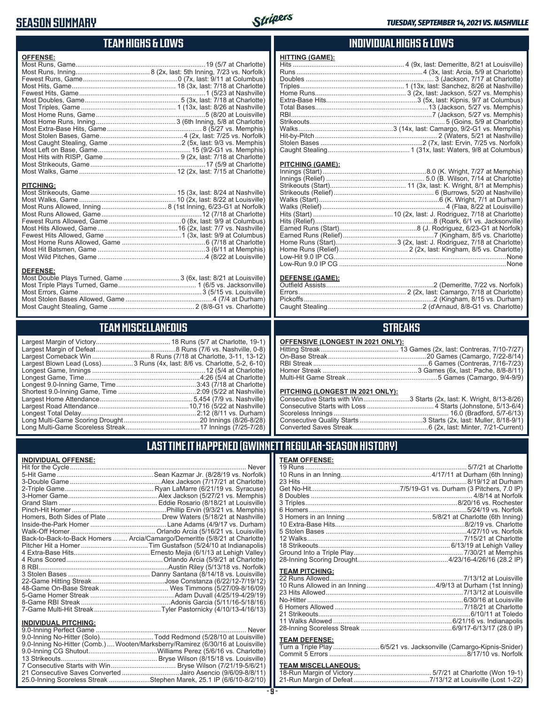### **SEASON SUMMARY**



### **TEAM HIGHS & LOWS**

| <b>OFFENSE:</b>                                                  |  |
|------------------------------------------------------------------|--|
|                                                                  |  |
|                                                                  |  |
|                                                                  |  |
|                                                                  |  |
|                                                                  |  |
|                                                                  |  |
|                                                                  |  |
|                                                                  |  |
|                                                                  |  |
|                                                                  |  |
|                                                                  |  |
|                                                                  |  |
|                                                                  |  |
|                                                                  |  |
|                                                                  |  |
|                                                                  |  |
|                                                                  |  |
|                                                                  |  |
| <b>PITCHING:</b>                                                 |  |
|                                                                  |  |
|                                                                  |  |
|                                                                  |  |
|                                                                  |  |
|                                                                  |  |
|                                                                  |  |
|                                                                  |  |
|                                                                  |  |
|                                                                  |  |
|                                                                  |  |
|                                                                  |  |
| <b>DEFENSE:</b>                                                  |  |
| Most Double Plays Turned, Game  3 (6x, last: 8/21 at Louisville) |  |
|                                                                  |  |

Most Caught Stealing, Game .............................................. 2 (8/8-G1 vs. Charlotte)

### **TEAM MISCELLANEOUS**

Most Stolen Bases Allowed, Game ...............................................4 (7/4 at Durham)

| Largest Blown Lead (Loss)3 Runs (4x, last: 8/6 vs. Charlotte, 5-2, 6-10) |
|--------------------------------------------------------------------------|
|                                                                          |
| Longest Game, Time……………………………………………………4:26 (5/4 at Charlotte)            |
| Longest 9.0-Inning Game, Time……………………………………3:43 (7/18 at Charlotte)      |
|                                                                          |
|                                                                          |
|                                                                          |
|                                                                          |
|                                                                          |
|                                                                          |
|                                                                          |

#### **INDIVIDUAL HIGHS & LOWS**

| <b>HITTING (GAME):</b> |  |
|------------------------|--|
|                        |  |
|                        |  |
|                        |  |
|                        |  |
|                        |  |
|                        |  |
|                        |  |
|                        |  |
|                        |  |
|                        |  |
|                        |  |
|                        |  |
|                        |  |
|                        |  |

#### **PITCHING (GAME):**

#### **DEFENSE (GAME):**

#### **STREAKS**

#### **OFFENSIVE (LONGEST IN 2021 ONLY):**

#### **PITCHING (LONGEST IN 2021 ONLY):**

| Consecutive Starts with Win3 Starts (2x, last: K. Wright, 8/13-8/26) |
|----------------------------------------------------------------------|
|                                                                      |
|                                                                      |
|                                                                      |
|                                                                      |

### **LAST TIME IT HAPPENED (GWINNETT REGULAR-SEASON HISTORY)**

#### **INDIVIDUAL OFFENSE:**

|                                                               | Homers, Both Sides of Plate ………………………… Drew Waters (5/18/21 at Nashville)  |
|---------------------------------------------------------------|----------------------------------------------------------------------------|
|                                                               |                                                                            |
|                                                               |                                                                            |
|                                                               | Back-to-Back-to-Back Homers  Arcia/Camargo/Demeritte (5/8/21 at Charlotte) |
|                                                               |                                                                            |
|                                                               |                                                                            |
|                                                               |                                                                            |
|                                                               |                                                                            |
|                                                               |                                                                            |
|                                                               |                                                                            |
|                                                               |                                                                            |
|                                                               |                                                                            |
|                                                               |                                                                            |
|                                                               |                                                                            |
|                                                               |                                                                            |
| <b>INDIVIDUAL PITCHING:</b><br><b>Q O-Inning Perfect Game</b> | Never                                                                      |
|                                                               |                                                                            |

| 9.0-Inning No-Hitter (Solo)Todd Redmond (5/28/10 at Louisville)                |
|--------------------------------------------------------------------------------|
| 9.0-Inning No-Hitter (Comb.) Wooten/Marksberry/Ramirez (6/30/16 at Louisville) |
|                                                                                |
|                                                                                |
|                                                                                |
| 21 Consecutive Saves Converted Jairo Asencio (9/6/09-8/8/11)                   |
| 25.0-Inning Scoreless Streak Stephen Marek, 25.1 IP (6/6/10-8/2/10)            |

| <b>TEAM OFFENSE:</b>  |                                                                     |
|-----------------------|---------------------------------------------------------------------|
|                       |                                                                     |
|                       |                                                                     |
|                       |                                                                     |
|                       |                                                                     |
|                       |                                                                     |
|                       |                                                                     |
|                       |                                                                     |
|                       |                                                                     |
|                       |                                                                     |
|                       |                                                                     |
|                       |                                                                     |
|                       |                                                                     |
|                       |                                                                     |
|                       |                                                                     |
| <b>TEAM PITCHING:</b> |                                                                     |
|                       |                                                                     |
|                       |                                                                     |
|                       |                                                                     |
|                       |                                                                     |
|                       |                                                                     |
|                       |                                                                     |
|                       |                                                                     |
|                       |                                                                     |
| <b>TEAM DEFENSE:</b>  |                                                                     |
|                       | Turn a Triple Play  6/5/21 vs. Jacksonville (Camargo-Kipnis-Snider) |
|                       |                                                                     |
|                       |                                                                     |

# **TEAM MISCELLANEOUS:**<br>18-Run Margin of Victory....

| 21-Run Margin of Defeat…………………………………7/13/12 at Louisville (Lost 1-22) |  |  |
|-----------------------------------------------------------------------|--|--|